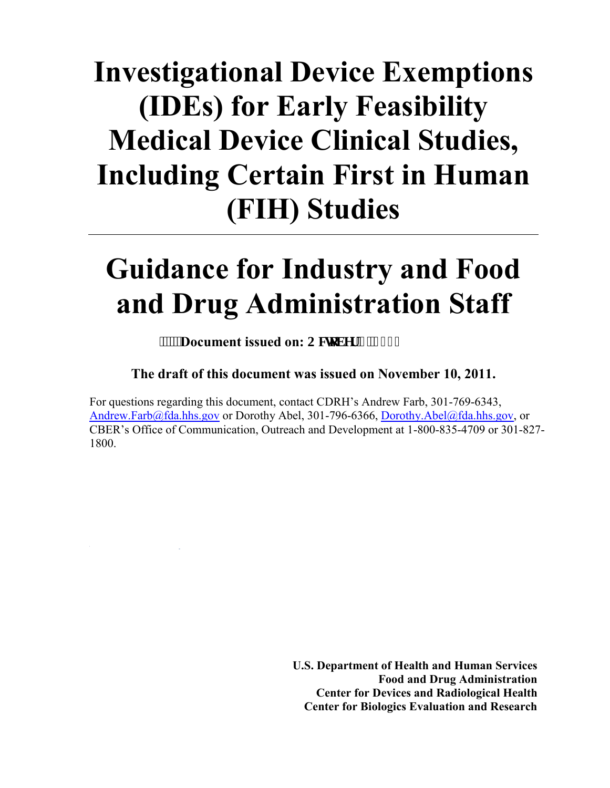# **Investigational Device Exemptions (IDEs) for Early Feasibility Medical Device Clinical Studies, Including Certain First in Human (FIH) Studies**

# **Guidance for Industry and Food and Drug Administration Staff**

### **WEB** Document issued on: Qexqdgt '3.'4235

#### **The draft of this document was issued on November 10, 2011.**

For questions regarding this document, contact CDRH's Andrew Farb, 301-769-6343, Andrew.Farb@fda.hhs.gov [or Dorothy Abel, 301-796-6366, Dorothy.Abel@fda.hhs.gov,](mailto:Andrew.Farb@fda.hhs.gov) or CBER's Office of Communication, Outreach and Development at 1-800-835-4709 or 301-827- 1800.

> **U.S. Department of Health and Human Services Food and Drug Administration Center for Devices and Radiological Health Center for Biologics Evaluation and Research**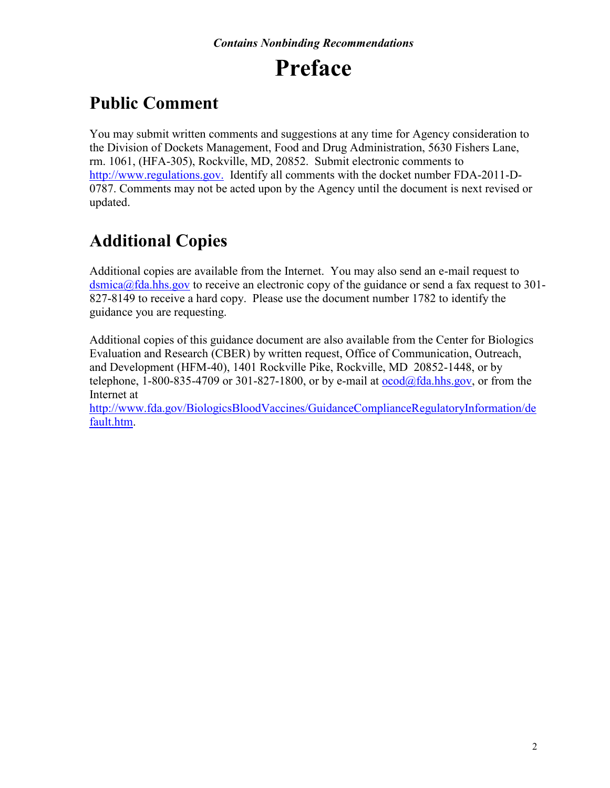## **Preface**

## **Public Comment**

You may submit written comments and suggestions at any time for Agency consideration to the Division of Dockets Management, Food and Drug Administration, 5630 Fishers Lane, rm. 1061, (HFA-305), Rockville, MD, 20852. Submit electronic comments to http://www.regulations.gov. Identify all comments with the docket number FDA-2011-D-0787. Comments may not be acted upon by the Agency until the document is next revised or updated.

## **Additional Copies**

Additional copies are available from the Internet. You may also send an e-mail request to dsmica@fda.hhs.gov [to receive an electronic copy of the guidance or send a fax request to 301-](mailto:dsmica@fda.hhs.gov) 827-8149 to receive a hard copy. Please use the document number 1782 to identify the guidance you are requesting.

Additional copies of this guidance document are also available from the Center for Biologics Evaluation and Research (CBER) by written request, Office of Communication, Outreach, and Development (HFM-40), 1401 Rockville Pike, Rockville, MD 20852-1448, or by telephone, 1-800-835-4709 or 301-827-1800, or by e-mail at  $\alpha \cdot \alpha$  ( $\alpha$ ) fda.hhs.gov, or from the Internet at

[http://www.fda.gov/BiologicsBloodVaccines/GuidanceComplianceRegulatoryInformation/de](http://www.fda.gov/BiologicsBloodVaccines/GuidanceComplianceRegulatoryInformation/default.htm) [fault.htm.](http://www.fda.gov/BiologicsBloodVaccines/GuidanceComplianceRegulatoryInformation/default.htm)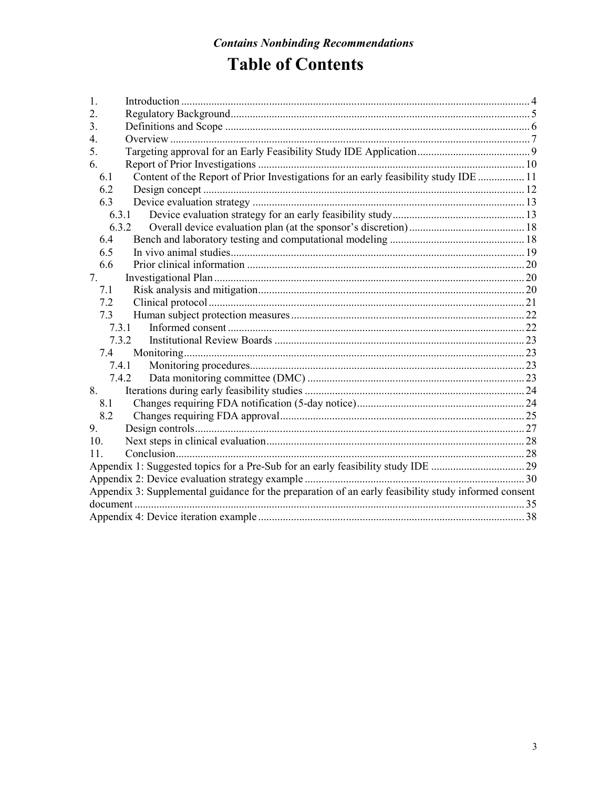## **Table of Contents**

| $\mathbf{1}$ .   |                                                                                                      |  |
|------------------|------------------------------------------------------------------------------------------------------|--|
| $\overline{2}$ . |                                                                                                      |  |
| 3.               |                                                                                                      |  |
| 4.               |                                                                                                      |  |
| 5.               |                                                                                                      |  |
| 6.               |                                                                                                      |  |
| 6.1              | Content of the Report of Prior Investigations for an early feasibility study IDE  11                 |  |
| 6.2              |                                                                                                      |  |
| 6.3              |                                                                                                      |  |
| 6.3.1            |                                                                                                      |  |
| 6.3.2            |                                                                                                      |  |
| 6.4              |                                                                                                      |  |
| 6.5              |                                                                                                      |  |
| 6.6              |                                                                                                      |  |
| 7.               |                                                                                                      |  |
| 7.1              |                                                                                                      |  |
| 7.2              |                                                                                                      |  |
| 7.3              |                                                                                                      |  |
| 7.3.1            |                                                                                                      |  |
| 7.3.2            |                                                                                                      |  |
| 7.4              |                                                                                                      |  |
| 7.4.1            |                                                                                                      |  |
|                  | 7.4.2                                                                                                |  |
| 8.               |                                                                                                      |  |
| 8.1              |                                                                                                      |  |
| 8.2              |                                                                                                      |  |
| 9.               |                                                                                                      |  |
| 10 <sub>1</sub>  |                                                                                                      |  |
| 11               |                                                                                                      |  |
|                  | Appendix 1: Suggested topics for a Pre-Sub for an early feasibility study IDE 29                     |  |
|                  |                                                                                                      |  |
|                  | Appendix 3: Supplemental guidance for the preparation of an early feasibility study informed consent |  |
|                  |                                                                                                      |  |
|                  |                                                                                                      |  |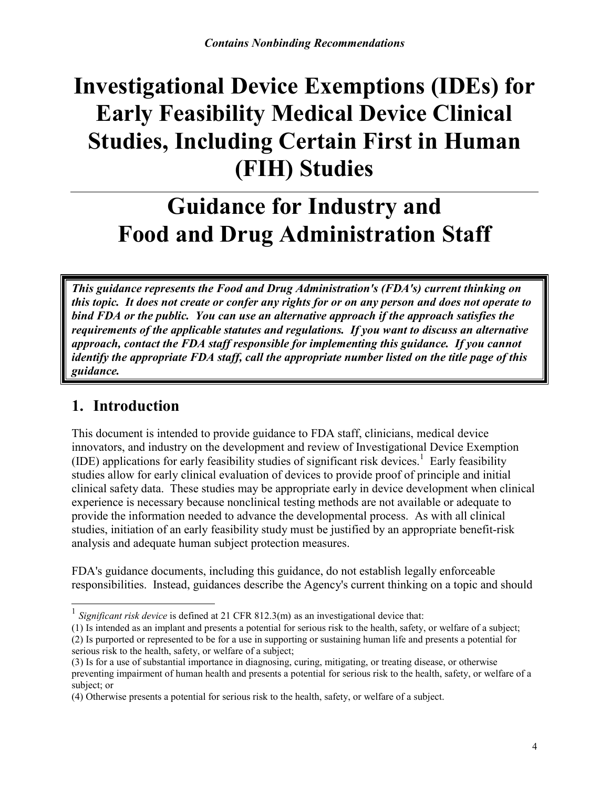## **Investigational Device Exemptions (IDEs) for Early Feasibility Medical Device Clinical Studies, Including Certain First in Human (FIH) Studies**

## **Guidance for Industry and Food and Drug Administration Staff**

*This guidance represents the Food and Drug Administration's (FDA's) current thinking on this topic. It does not create or confer any rights for or on any person and does not operate to bind FDA or the public. You can use an alternative approach if the approach satisfies the requirements of the applicable statutes and regulations. If you want to discuss an alternative approach, contact the FDA staff responsible for implementing this guidance. If you cannot identify the appropriate FDA staff, call the appropriate number listed on the title page of this guidance.* 

## <span id="page-3-0"></span>**1. Introduction**

This document is intended to provide guidance to FDA staff, clinicians, medical device innovators, and industry on the development and review of Investigational Device Exemption (IDE) applications for early feasibility studies of significant risk devices. [1](#page-3-1) Early feasibility studies allow for early clinical evaluation of devices to provide proof of principle and initial clinical safety data. These studies may be appropriate early in device development when clinical experience is necessary because nonclinical testing methods are not available or adequate to provide the information needed to advance the developmental process. As with all clinical studies, initiation of an early feasibility study must be justified by an appropriate benefit-risk analysis and adequate human subject protection measures.

FDA's guidance documents, including this guidance, do not establish legally enforceable responsibilities. Instead, guidances describe the Agency's current thinking on a topic and should

(1) Is intended as an implant and presents a potential for serious risk to the health, safety, or welfare of a subject; (2) Is purported or represented to be for a use in supporting or sustaining human life and presents a potential for serious risk to the health, safety, or welfare of a subject;

<span id="page-3-1"></span> 1 *Significant risk device* is defined at 21 CFR 812.3(m) as an investigational device that:

<sup>(3)</sup> Is for a use of substantial importance in diagnosing, curing, mitigating, or treating disease, or otherwise preventing impairment of human health and presents a potential for serious risk to the health, safety, or welfare of a subject; or

<sup>(4)</sup> Otherwise presents a potential for serious risk to the health, safety, or welfare of a subject.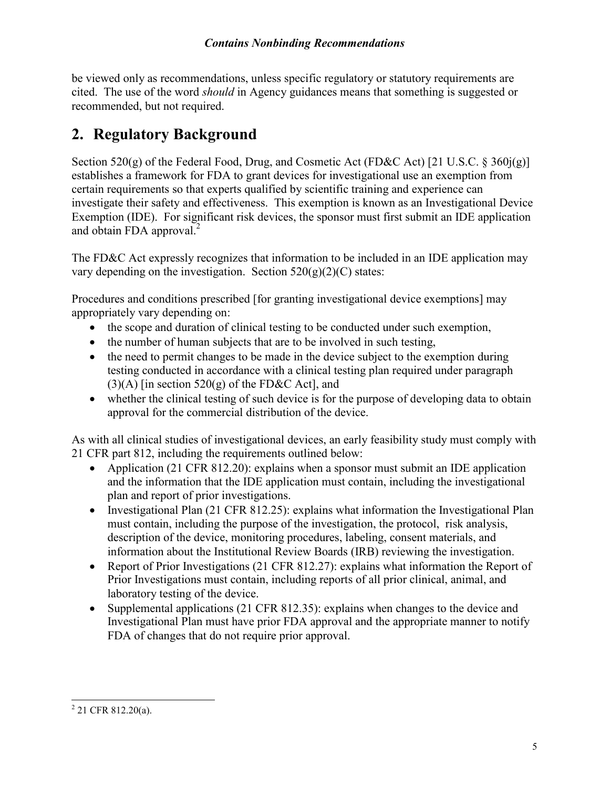be viewed only as recommendations, unless specific regulatory or statutory requirements are cited. The use of the word *should* in Agency guidances means that something is suggested or recommended, but not required.

## <span id="page-4-0"></span>**2. Regulatory Background**

Section 520(g) of the Federal Food, Drug, and Cosmetic Act (FD&C Act) [21 U.S.C. § 360j(g)] establishes a framework for FDA to grant devices for investigational use an exemption from certain requirements so that experts qualified by scientific training and experience can investigate their safety and effectiveness. This exemption is known as an Investigational Device Exemption (IDE). For significant risk devices, the sponsor must first submit an IDE application and obtain FDA approval. $^{2}$  $^{2}$  $^{2}$ 

The FD&C Act expressly recognizes that information to be included in an IDE application may vary depending on the investigation. Section  $520(g)(2)(C)$  states:

Procedures and conditions prescribed [for granting investigational device exemptions] may appropriately vary depending on:

- · the scope and duration of clinical testing to be conducted under such exemption,
- the number of human subjects that are to be involved in such testing,
- the need to permit changes to be made in the device subject to the exemption during testing conducted in accordance with a clinical testing plan required under paragraph  $(3)(A)$  [in section 520(g) of the FD&C Act], and
- whether the clinical testing of such device is for the purpose of developing data to obtain approval for the commercial distribution of the device.

As with all clinical studies of investigational devices, an early feasibility study must comply with 21 CFR part 812, including the requirements outlined below:

- Application (21 CFR 812.20): explains when a sponsor must submit an IDE application and the information that the IDE application must contain, including the investigational plan and report of prior investigations.
- Investigational Plan (21 CFR 812.25): explains what information the Investigational Plan must contain, including the purpose of the investigation, the protocol, risk analysis, description of the device, monitoring procedures, labeling, consent materials, and information about the Institutional Review Boards (IRB) reviewing the investigation.
- Report of Prior Investigations (21 CFR 812.27): explains what information the Report of Prior Investigations must contain, including reports of all prior clinical, animal, and laboratory testing of the device.
- Supplemental applications (21 CFR 812.35): explains when changes to the device and Investigational Plan must have prior FDA approval and the appropriate manner to notify FDA of changes that do not require prior approval.

<span id="page-4-1"></span> $2$  21 CFR 812.20(a).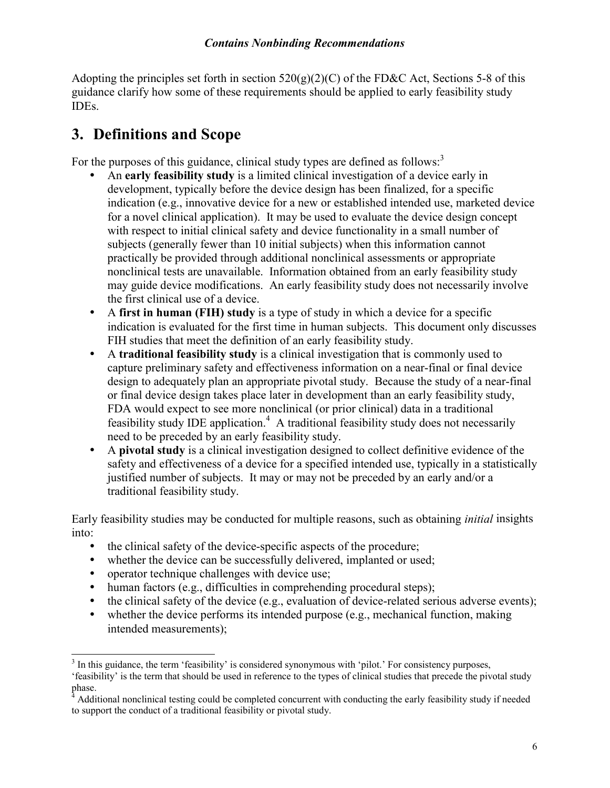Adopting the principles set forth in section  $520(g)(2)(C)$  of the FD&C Act, Sections 5-8 of this guidance clarify how some of these requirements should be applied to early feasibility study IDEs.

## <span id="page-5-0"></span>**3. Definitions and Scope**

For the purposes of this guidance, clinical study types are defined as follows:<sup>[3](#page-5-1)</sup>

- An **early feasibility study** is a limited clinical investigation of a device early in development, typically before the device design has been finalized, for a specific indication (e.g., innovative device for a new or established intended use, marketed device for a novel clinical application). It may be used to evaluate the device design concept with respect to initial clinical safety and device functionality in a small number of subjects (generally fewer than 10 initial subjects) when this information cannot practically be provided through additional nonclinical assessments or appropriate nonclinical tests are unavailable. Information obtained from an early feasibility study may guide device modifications. An early feasibility study does not necessarily involve the first clinical use of a device.
- A **first in human (FIH) study** is a type of study in which a device for a specific indication is evaluated for the first time in human subjects. This document only discusses FIH studies that meet the definition of an early feasibility study.
- A **traditional feasibility study** is a clinical investigation that is commonly used to capture preliminary safety and effectiveness information on a near-final or final device design to adequately plan an appropriate pivotal study. Because the study of a near-final or final device design takes place later in development than an early feasibility study, FDA would expect to see more nonclinical (or prior clinical) data in a traditional feasibility study IDE application.<sup>[4](#page-5-2)</sup> A traditional feasibility study does not necessarily need to be preceded by an early feasibility study.
- A **pivotal study** is a clinical investigation designed to collect definitive evidence of the safety and effectiveness of a device for a specified intended use, typically in a statistically justified number of subjects. It may or may not be preceded by an early and/or a traditional feasibility study.

Early feasibility studies may be conducted for multiple reasons, such as obtaining *initial* insights into:

- the clinical safety of the device-specific aspects of the procedure;
- whether the device can be successfully delivered, implanted or used;
- operator technique challenges with device use;
- human factors (e.g., difficulties in comprehending procedural steps);
- the clinical safety of the device (e.g., evaluation of device-related serious adverse events);
- whether the device performs its intended purpose (e.g., mechanical function, making intended measurements);

<span id="page-5-1"></span> $\overline{a}$ <sup>3</sup> In this guidance, the term 'feasibility' is considered synonymous with 'pilot.' For consistency purposes,

<sup>&#</sup>x27;feasibility' is the term that should be used in reference to the types of clinical studies that precede the pivotal study phase.

<span id="page-5-2"></span><sup>4</sup> Additional nonclinical testing could be completed concurrent with conducting the early feasibility study if needed to support the conduct of a traditional feasibility or pivotal study.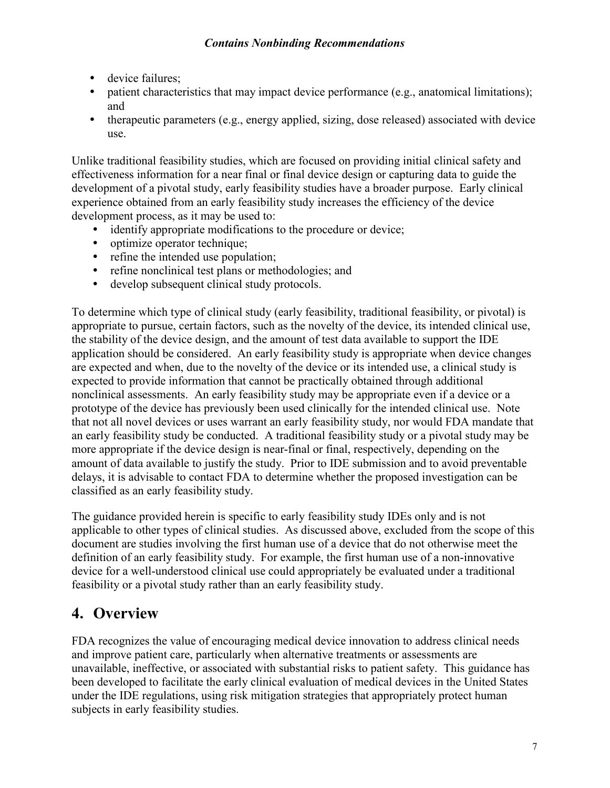- device failures:
- patient characteristics that may impact device performance (e.g., anatomical limitations); and
- therapeutic parameters (e.g., energy applied, sizing, dose released) associated with device use.

Unlike traditional feasibility studies, which are focused on providing initial clinical safety and effectiveness information for a near final or final device design or capturing data to guide the development of a pivotal study, early feasibility studies have a broader purpose. Early clinical experience obtained from an early feasibility study increases the efficiency of the device development process, as it may be used to:

- identify appropriate modifications to the procedure or device;<br>• ontimize onerator technique:
- optimize operator technique;
- refine the intended use population;
- refine nonclinical test plans or methodologies; and
- develop subsequent clinical study protocols.

To determine which type of clinical study (early feasibility, traditional feasibility, or pivotal) is appropriate to pursue, certain factors, such as the novelty of the device, its intended clinical use, the stability of the device design, and the amount of test data available to support the IDE application should be considered. An early feasibility study is appropriate when device changes are expected and when, due to the novelty of the device or its intended use, a clinical study is expected to provide information that cannot be practically obtained through additional nonclinical assessments. An early feasibility study may be appropriate even if a device or a prototype of the device has previously been used clinically for the intended clinical use. Note that not all novel devices or uses warrant an early feasibility study, nor would FDA mandate that an early feasibility study be conducted. A traditional feasibility study or a pivotal study may be more appropriate if the device design is near-final or final, respectively, depending on the amount of data available to justify the study. Prior to IDE submission and to avoid preventable delays, it is advisable to contact FDA to determine whether the proposed investigation can be classified as an early feasibility study.

The guidance provided herein is specific to early feasibility study IDEs only and is not applicable to other types of clinical studies. As discussed above, excluded from the scope of this document are studies involving the first human use of a device that do not otherwise meet the definition of an early feasibility study. For example, the first human use of a non-innovative device for a well-understood clinical use could appropriately be evaluated under a traditional feasibility or a pivotal study rather than an early feasibility study.

## <span id="page-6-0"></span>**4. Overview**

FDA recognizes the value of encouraging medical device innovation to address clinical needs and improve patient care, particularly when alternative treatments or assessments are unavailable, ineffective, or associated with substantial risks to patient safety. This guidance has been developed to facilitate the early clinical evaluation of medical devices in the United States under the IDE regulations, using risk mitigation strategies that appropriately protect human subjects in early feasibility studies.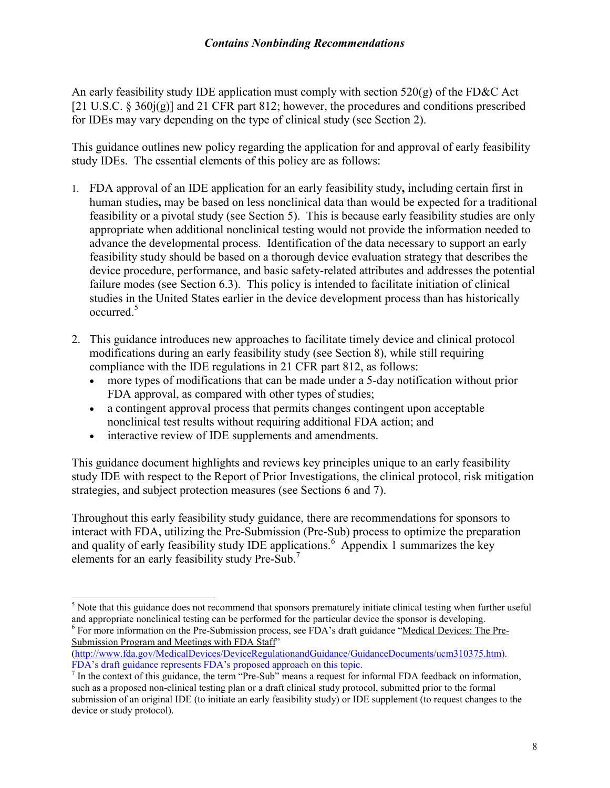An early feasibility study IDE application must comply with section  $520(g)$  of the FD&C Act [21 U.S.C. § 360j(g)] and 21 CFR part 812; however, the procedures and conditions prescribed for IDEs may vary depending on the type of clinical study (see Section 2).

This guidance outlines new policy regarding the application for and approval of early feasibility study IDEs. The essential elements of this policy are as follows:

- 1. FDA approval of an IDE application for an early feasibility study**,** including certain first in human studies**,** may be based on less nonclinical data than would be expected for a traditional feasibility or a pivotal study (see Section 5). This is because early feasibility studies are only appropriate when additional nonclinical testing would not provide the information needed to advance the developmental process. Identification of the data necessary to support an early feasibility study should be based on a thorough device evaluation strategy that describes the device procedure, performance, and basic safety-related attributes and addresses the potential failure modes (see Section 6.3). This policy is intended to facilitate initiation of clinical studies in the United States earlier in the device development process than has historically occurred.<sup>[5](#page-7-0)</sup>
- 2. This guidance introduces new approaches to facilitate timely device and clinical protocol modifications during an early feasibility study (see Section 8), while still requiring compliance with the IDE regulations in 21 CFR part 812, as follows:
	- · more types of modifications that can be made under a 5-day notification without prior FDA approval, as compared with other types of studies;
	- · a contingent approval process that permits changes contingent upon acceptable nonclinical test results without requiring additional FDA action; and
	- interactive review of IDE supplements and amendments.

This guidance document highlights and reviews key principles unique to an early feasibility study IDE with respect to the Report of Prior Investigations, the clinical protocol, risk mitigation strategies, and subject protection measures (see Sections 6 and 7).

Throughout this early feasibility study guidance, there are recommendations for sponsors to interact with FDA, utilizing the Pre-Submission (Pre-Sub) process to optimize the preparation and quality of early feasibility study IDE applications.<sup>[6](#page-7-1)</sup> Appendix 1 summarizes the key elements for an early feasibility study Pre-Sub.[7](#page-7-2)

<span id="page-7-0"></span> $\overline{a}$ <sup>5</sup> Note that this guidance does not recommend that sponsors prematurely initiate clinical testing when further useful and appropriate nonclinical testing can be performed for the particular device the sponsor is developing.

<span id="page-7-1"></span><sup>&</sup>lt;sup>6</sup> For more information on the Pre-Submission process, see FDA's draft guidance "[Medical Devices: The Pre-](http://www.fda.gov/MedicalDevices/DeviceRegulationandGuidance/GuidanceDocuments/ucm310375.htm)[Submission Program and Meetings with FDA Staff"](http://www.fda.gov/MedicalDevices/DeviceRegulationandGuidance/GuidanceDocuments/ucm310375.htm)

[<sup>\(</sup>http://www.fda.gov/MedicalDevices/DeviceRegulationandGuidance/GuidanceDocuments/ucm310375.htm\).](http://www.fda.gov/MedicalDevices/DeviceRegulationandGuidance/GuidanceDocuments/ucm310375.htm)  FDA's draft guidance represents FDA's proposed approach on this topic.

<span id="page-7-2"></span> $<sup>7</sup>$  In the context of this guidance, the term "Pre-Sub" means a request for informal FDA feedback on information,</sup> such as a proposed non-clinical testing plan or a draft clinical study protocol, submitted prior to the formal submission of an original IDE (to initiate an early feasibility study) or IDE supplement (to request changes to the device or study protocol).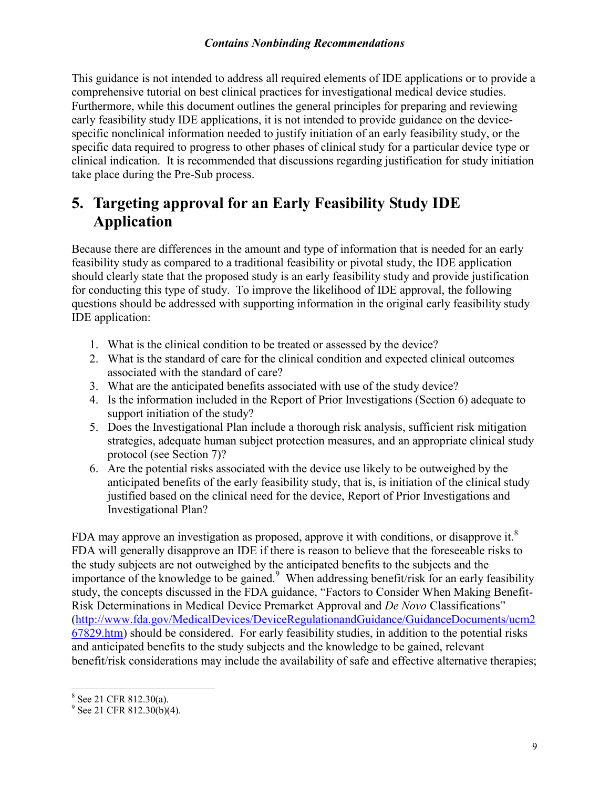This guidance is not intended to address all required elements of IDE applications or to provide a comprehensive tutorial on best clinical practices for investigational medical device studies. Furthermore, while this document outlines the general principles for preparing and reviewing early feasibility study IDE applications, it is not intended to provide guidance on the devicespecific nonclinical information needed to justify initiation of an early feasibility study, or the specific data required to progress to other phases of clinical study for a particular device type or clinical indication. It is recommended that discussions regarding justification for study initiation take place during the Pre-Sub process.

## <span id="page-8-0"></span>**5. Targeting approval for an Early Feasibility Study IDE Application**

Because there are differences in the amount and type of information that is needed for an early feasibility study as compared to a traditional feasibility or pivotal study, the IDE application should clearly state that the proposed study is an early feasibility study and provide justification for conducting this type of study. To improve the likelihood of IDE approval, the following questions should be addressed with supporting information in the original early feasibility study IDE application:

- 1. What is the clinical condition to be treated or assessed by the device?
- 2. What is the standard of care for the clinical condition and expected clinical outcomes associated with the standard of care?
- 3. What are the anticipated benefits associated with use of the study device?
- 4. Is the information included in the Report of Prior Investigations (Section 6) adequate to support initiation of the study?
- 5. Does the Investigational Plan include a thorough risk analysis, sufficient risk mitigation strategies, adequate human subject protection measures, and an appropriate clinical study protocol (see Section 7)?
- 6. Are the potential risks associated with the device use likely to be outweighed by the anticipated benefits of the early feasibility study, that is, is initiation of the clinical study justified based on the clinical need for the device, Report of Prior Investigations and Investigational Plan?

FDA may approve an investigation as proposed, approve it with conditions, or disapprove it.<sup>[8](#page-8-1)</sup> FDA will generally disapprove an IDE if there is reason to believe that the foreseeable risks to the study subjects are not outweighed by the anticipated benefits to the subjects and the importance of the knowledge to be gained.<sup>[9](#page-8-2)</sup> When addressing benefit/risk for an early feasibility study, the concepts discussed in the FDA guidance, ["Factors to Consider When Making Benefit-](http://www.fda.gov/MedicalDevices/DeviceRegulationandGuidance/GuidanceDocuments/ucm267829.htm)[Risk Determinations in Medical Device Premarket Approval and](http://www.fda.gov/MedicalDevices/DeviceRegulationandGuidance/GuidanceDocuments/ucm267829.htm) *De Novo* Classifications" ([http://www.fda.gov/MedicalDevices/DeviceRegulationandGuidance/GuidanceDocuments/ucm2](http://www.fda.gov/MedicalDevices/DeviceRegulationandGuidance/GuidanceDocuments/ucm267829.htm) [67829.htm\) should be considered. For early feasibility studies, in addition to the potential risks](http://www.fda.gov/MedicalDevices/DeviceRegulationandGuidance/GuidanceDocuments/ucm267829.htm)  and anticipated benefits to the study subjects and the knowledge to be gained, relevant benefit/risk considerations may include the availability of safe and effective alternative therapies;

<span id="page-8-1"></span><sup>&</sup>lt;sup>8</sup> See 21 CFR 812.30(a).

<span id="page-8-2"></span> $9^9$  See 21 CFR 812.30(b)(4).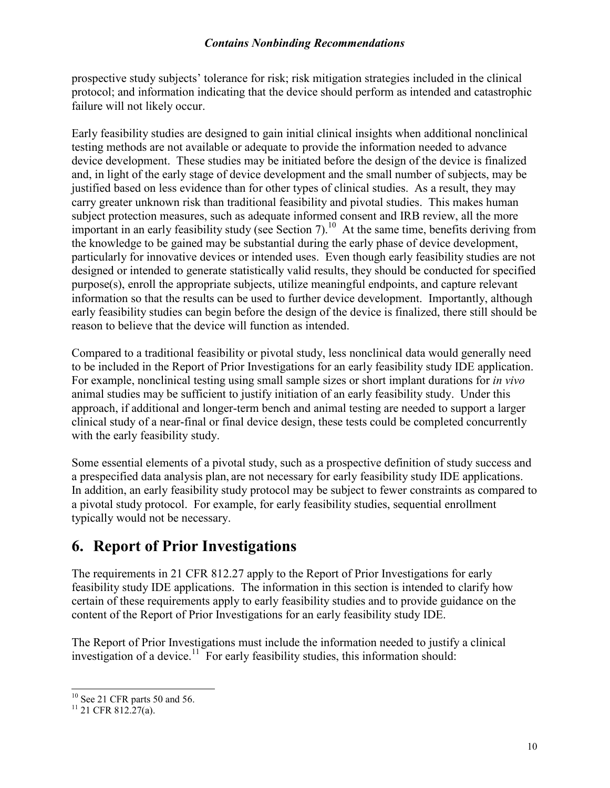prospective study subjects' tolerance for risk; risk mitigation strategies included in the clinical protocol; and information indicating that the device should perform as intended and catastrophic failure will not likely occur.

Early feasibility studies are designed to gain initial clinical insights when additional nonclinical testing methods are not available or adequate to provide the information needed to advance device development. These studies may be initiated before the design of the device is finalized and, in light of the early stage of device development and the small number of subjects, may be justified based on less evidence than for other types of clinical studies. As a result, they may carry greater unknown risk than traditional feasibility and pivotal studies. This makes human subject protection measures, such as adequate informed consent and IRB review, all the more important in an early feasibility study (see Section 7).<sup>[10](#page-9-1)</sup> At the same time, benefits deriving from the knowledge to be gained may be substantial during the early phase of device development, particularly for innovative devices or intended uses. Even though early feasibility studies are not designed or intended to generate statistically valid results, they should be conducted for specified purpose(s), enroll the appropriate subjects, utilize meaningful endpoints, and capture relevant information so that the results can be used to further device development. Importantly, although early feasibility studies can begin before the design of the device is finalized, there still should be reason to believe that the device will function as intended.

Compared to a traditional feasibility or pivotal study, less nonclinical data would generally need to be included in the Report of Prior Investigations for an early feasibility study IDE application. For example, nonclinical testing using small sample sizes or short implant durations for *in vivo* animal studies may be sufficient to justify initiation of an early feasibility study. Under this approach, if additional and longer-term bench and animal testing are needed to support a larger clinical study of a near-final or final device design, these tests could be completed concurrently with the early feasibility study.

Some essential elements of a pivotal study, such as a prospective definition of study success and a prespecified data analysis plan, are not necessary for early feasibility study IDE applications. In addition, an early feasibility study protocol may be subject to fewer constraints as compared to a pivotal study protocol. For example, for early feasibility studies, sequential enrollment typically would not be necessary.

## <span id="page-9-0"></span>**6. Report of Prior Investigations**

The requirements in 21 CFR 812.27 apply to the Report of Prior Investigations for early feasibility study IDE applications. The information in this section is intended to clarify how certain of these requirements apply to early feasibility studies and to provide guidance on the content of the Report of Prior Investigations for an early feasibility study IDE.

The Report of Prior Investigations must include the information needed to justify a clinical investigation of a device.<sup>[11](#page-9-2)</sup> For early feasibility studies, this information should:

<span id="page-9-1"></span> $\overline{a}$  $10$  See 21 CFR parts 50 and 56.

<span id="page-9-2"></span> $11$  21 CFR 812.27(a).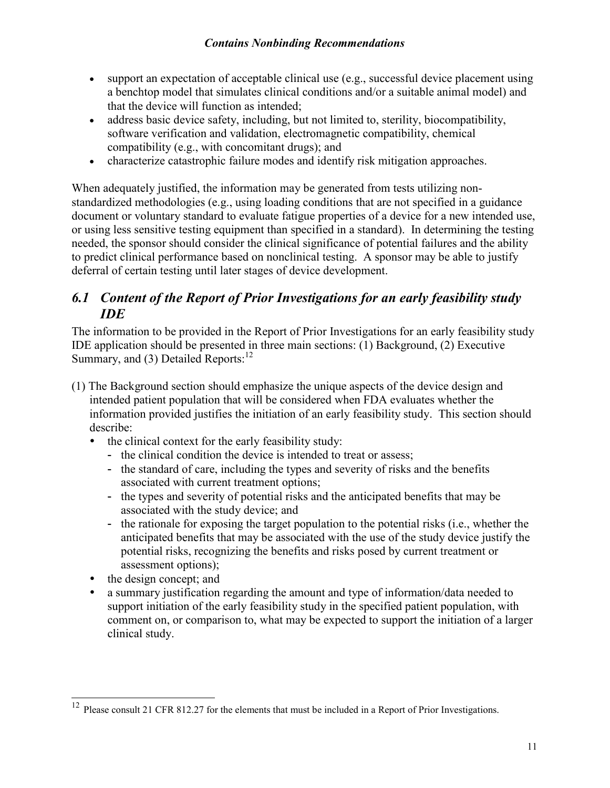- · support an expectation of acceptable clinical use (e.g., successful device placement using a benchtop model that simulates clinical conditions and/or a suitable animal model) and that the device will function as intended;
- · address basic device safety, including, but not limited to, sterility, biocompatibility, software verification and validation, electromagnetic compatibility, chemical compatibility (e.g., with concomitant drugs); and
- · characterize catastrophic failure modes and identify risk mitigation approaches.

When adequately justified, the information may be generated from tests utilizing nonstandardized methodologies (e.g., using loading conditions that are not specified in a guidance document or voluntary standard to evaluate fatigue properties of a device for a new intended use, or using less sensitive testing equipment than specified in a standard). In determining the testing needed, the sponsor should consider the clinical significance of potential failures and the ability to predict clinical performance based on nonclinical testing. A sponsor may be able to justify deferral of certain testing until later stages of device development.

### <span id="page-10-0"></span>*6.1 Content of the Report of Prior Investigations for an early feasibility study IDE*

The information to be provided in the Report of Prior Investigations for an early feasibility study IDE application should be presented in three main sections: (1) Background, (2) Executive Summary, and (3) Detailed Reports:<sup>[12](#page-10-1)</sup>

- (1) The Background section should emphasize the unique aspects of the device design and intended patient population that will be considered when FDA evaluates whether the information provided justifies the initiation of an early feasibility study. This section should describe:
	- the clinical context for the early feasibility study:
		- the clinical condition the device is intended to treat or assess;
		- the standard of care, including the types and severity of risks and the benefits associated with current treatment options;
		- the types and severity of potential risks and the anticipated benefits that may be associated with the study device; and
		- the rationale for exposing the target population to the potential risks (i.e., whether the anticipated benefits that may be associated with the use of the study device justify the potential risks, recognizing the benefits and risks posed by current treatment or assessment options);
	- the design concept; and

 $\overline{a}$ 

 a summary justification regarding the amount and type of information/data needed to support initiation of the early feasibility study in the specified patient population, with comment on, or comparison to, what may be expected to support the initiation of a larger clinical study.

<span id="page-10-1"></span><sup>&</sup>lt;sup>12</sup> Please consult 21 CFR 812.27 for the elements that must be included in a Report of Prior Investigations.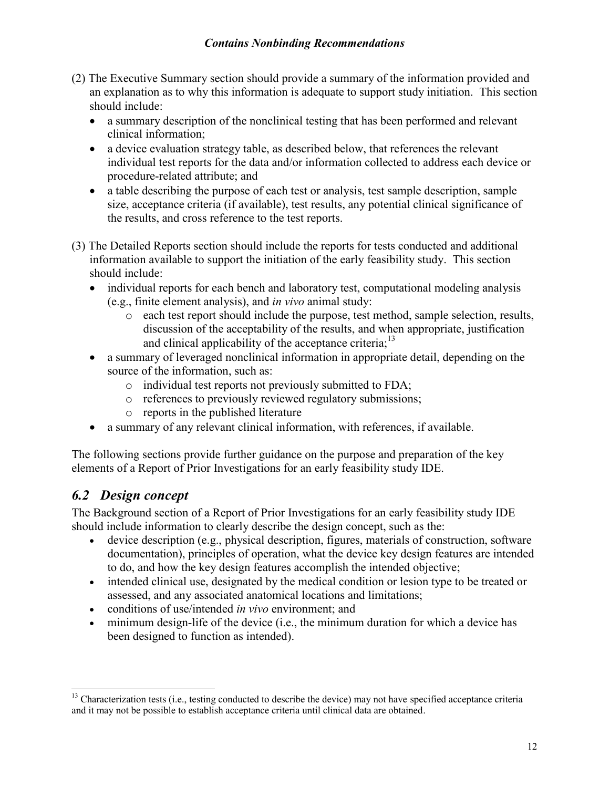- (2) The Executive Summary section should provide a summary of the information provided and an explanation as to why this information is adequate to support study initiation. This section should include:
	- a summary description of the nonclinical testing that has been performed and relevant clinical information;
	- · a device evaluation strategy table, as described below, that references the relevant individual test reports for the data and/or information collected to address each device or procedure-related attribute; and
	- · a table describing the purpose of each test or analysis, test sample description, sample size, acceptance criteria (if available), test results, any potential clinical significance of the results, and cross reference to the test reports.
- (3) The Detailed Reports section should include the reports for tests conducted and additional information available to support the initiation of the early feasibility study. This section should include:
	- individual reports for each bench and laboratory test, computational modeling analysis (e.g., finite element analysis), and *in vivo* animal study:
		- o each test report should include the purpose, test method, sample selection, results, discussion of the acceptability of the results, and when appropriate, justification and clinical applicability of the acceptance criteria;<sup>[13](#page-11-1)</sup>
	- a summary of leveraged nonclinical information in appropriate detail, depending on the source of the information, such as:
		- o individual test reports not previously submitted to FDA;
		- o references to previously reviewed regulatory submissions;
		- o reports in the published literature
	- · a summary of any relevant clinical information, with references, if available.

The following sections provide further guidance on the purpose and preparation of the key elements of a Report of Prior Investigations for an early feasibility study IDE.

### <span id="page-11-0"></span>*6.2 Design concept*

The Background section of a Report of Prior Investigations for an early feasibility study IDE should include information to clearly describe the design concept, such as the:

- · device description (e.g., physical description, figures, materials of construction, software documentation), principles of operation, what the device key design features are intended to do, and how the key design features accomplish the intended objective;
- · intended clinical use, designated by the medical condition or lesion type to be treated or assessed, and any associated anatomical locations and limitations;
- · conditions of use/intended *in vivo* environment; and
- minimum design-life of the device (i.e., the minimum duration for which a device has been designed to function as intended).

<span id="page-11-1"></span> $\overline{a}$ <sup>13</sup> Characterization tests (i.e., testing conducted to describe the device) may not have specified acceptance criteria and it may not be possible to establish acceptance criteria until clinical data are obtained.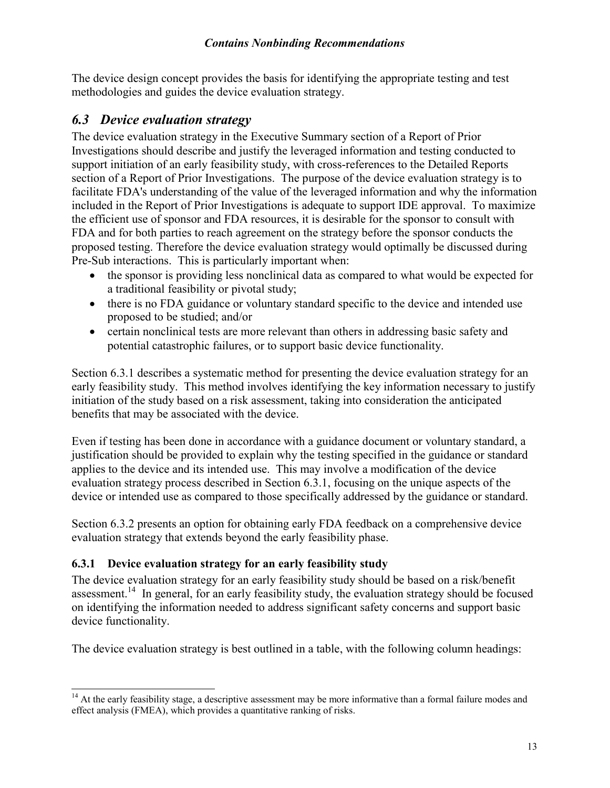The device design concept provides the basis for identifying the appropriate testing and test methodologies and guides the device evaluation strategy.

### <span id="page-12-0"></span>*6.3 Device evaluation strategy*

The device evaluation strategy in the Executive Summary section of a Report of Prior Investigations should describe and justify the leveraged information and testing conducted to support initiation of an early feasibility study, with cross-references to the Detailed Reports section of a Report of Prior Investigations. The purpose of the device evaluation strategy is to facilitate FDA's understanding of the value of the leveraged information and why the information included in the Report of Prior Investigations is adequate to support IDE approval. To maximize the efficient use of sponsor and FDA resources, it is desirable for the sponsor to consult with FDA and for both parties to reach agreement on the strategy before the sponsor conducts the proposed testing. Therefore the device evaluation strategy would optimally be discussed during Pre-Sub interactions. This is particularly important when:

- the sponsor is providing less nonclinical data as compared to what would be expected for a traditional feasibility or pivotal study;
- there is no FDA guidance or voluntary standard specific to the device and intended use proposed to be studied; and/or
- certain nonclinical tests are more relevant than others in addressing basic safety and potential catastrophic failures, or to support basic device functionality.

Section 6.3.1 describes a systematic method for presenting the device evaluation strategy for an early feasibility study. This method involves identifying the key information necessary to justify initiation of the study based on a risk assessment, taking into consideration the anticipated benefits that may be associated with the device.

Even if testing has been done in accordance with a guidance document or voluntary standard, a justification should be provided to explain why the testing specified in the guidance or standard applies to the device and its intended use. This may involve a modification of the device evaluation strategy process described in Section 6.3.1, focusing on the unique aspects of the device or intended use as compared to those specifically addressed by the guidance or standard.

Section 6.3.2 presents an option for obtaining early FDA feedback on a comprehensive device evaluation strategy that extends beyond the early feasibility phase.

#### <span id="page-12-1"></span>**6.3.1 Device evaluation strategy for an early feasibility study**

The device evaluation strategy for an early feasibility study should be based on a risk/benefit assessment.<sup>[14](#page-12-2)</sup> In general, for an early feasibility study, the evaluation strategy should be focused on identifying the information needed to address significant safety concerns and support basic device functionality.

The device evaluation strategy is best outlined in a table, with the following column headings:

<span id="page-12-2"></span> $\overline{a}$ <sup>14</sup> At the early feasibility stage, a descriptive assessment may be more informative than a formal failure modes and effect analysis (FMEA), which provides a quantitative ranking of risks.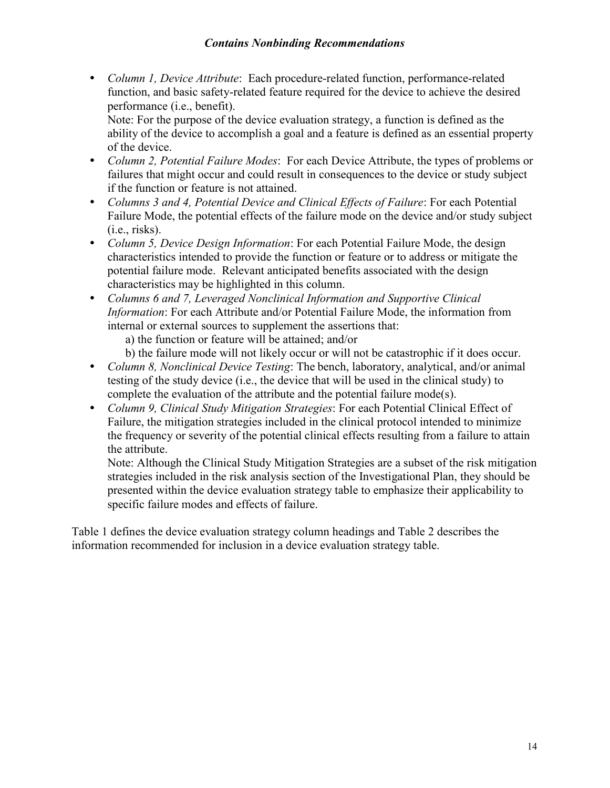*Column 1, Device Attribute*: Each procedure-related function, performance-related function, and basic safety-related feature required for the device to achieve the desired performance (i.e., benefit).

Note: For the purpose of the device evaluation strategy, a function is defined as the ability of the device to accomplish a goal and a feature is defined as an essential property of the device.

- *Column 2, Potential Failure Modes*: For each Device Attribute, the types of problems or failures that might occur and could result in consequences to the device or study subject if the function or feature is not attained.
- *Columns 3 and 4, Potential Device and Clinical Effects of Failure*: For each Potential Failure Mode, the potential effects of the failure mode on the device and/or study subject (i.e., risks).
- *Column 5, Device Design Information*: For each Potential Failure Mode, the design characteristics intended to provide the function or feature or to address or mitigate the potential failure mode. Relevant anticipated benefits associated with the design characteristics may be highlighted in this column.
- *Columns 6 and 7, Leveraged Nonclinical Information and Supportive Clinical Information*: For each Attribute and/or Potential Failure Mode, the information from internal or external sources to supplement the assertions that:

a) the function or feature will be attained; and/or

b) the failure mode will not likely occur or will not be catastrophic if it does occur.

- *Column 8, Nonclinical Device Testing*: The bench, laboratory, analytical, and/or animal testing of the study device (i.e., the device that will be used in the clinical study) to complete the evaluation of the attribute and the potential failure mode(s).
- *Column 9, Clinical Study Mitigation Strategies*: For each Potential Clinical Effect of Failure, the mitigation strategies included in the clinical protocol intended to minimize the frequency or severity of the potential clinical effects resulting from a failure to attain the attribute.

Note: Although the Clinical Study Mitigation Strategies are a subset of the risk mitigation strategies included in the risk analysis section of the Investigational Plan, they should be presented within the device evaluation strategy table to emphasize their applicability to specific failure modes and effects of failure.

Table 1 defines the device evaluation strategy column headings and Table 2 describes the information recommended for inclusion in a device evaluation strategy table.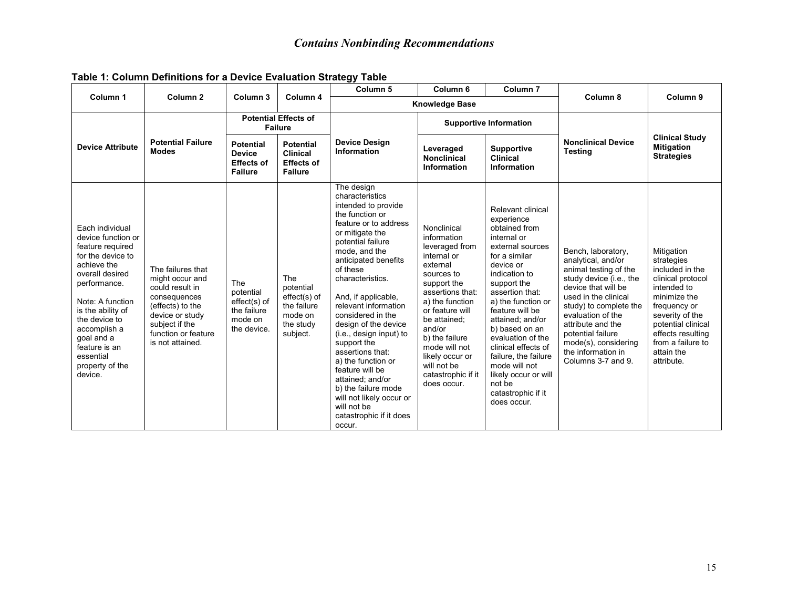| Column 1                                                                                                                                                                                                                                                                             | Column <sub>2</sub>                                                                                                                                                         | Column <sub>3</sub>                                                       | Column 4                                                                            | Column <sub>5</sub>                                                                                                                                                                                                                                                                                                                                                                                                                                                                                                                             | Column <sub>6</sub><br>Column <sub>7</sub>                                                                                                                                                                                                                                                         |                                                                                                                                                                                                                                                                                                                                                                                                                 | Column 8                                                                                                                                                                                                                                                                                                 | Column 9                                                                                                                                                                                                                       |
|--------------------------------------------------------------------------------------------------------------------------------------------------------------------------------------------------------------------------------------------------------------------------------------|-----------------------------------------------------------------------------------------------------------------------------------------------------------------------------|---------------------------------------------------------------------------|-------------------------------------------------------------------------------------|-------------------------------------------------------------------------------------------------------------------------------------------------------------------------------------------------------------------------------------------------------------------------------------------------------------------------------------------------------------------------------------------------------------------------------------------------------------------------------------------------------------------------------------------------|----------------------------------------------------------------------------------------------------------------------------------------------------------------------------------------------------------------------------------------------------------------------------------------------------|-----------------------------------------------------------------------------------------------------------------------------------------------------------------------------------------------------------------------------------------------------------------------------------------------------------------------------------------------------------------------------------------------------------------|----------------------------------------------------------------------------------------------------------------------------------------------------------------------------------------------------------------------------------------------------------------------------------------------------------|--------------------------------------------------------------------------------------------------------------------------------------------------------------------------------------------------------------------------------|
|                                                                                                                                                                                                                                                                                      |                                                                                                                                                                             |                                                                           |                                                                                     |                                                                                                                                                                                                                                                                                                                                                                                                                                                                                                                                                 | <b>Knowledge Base</b>                                                                                                                                                                                                                                                                              |                                                                                                                                                                                                                                                                                                                                                                                                                 |                                                                                                                                                                                                                                                                                                          |                                                                                                                                                                                                                                |
|                                                                                                                                                                                                                                                                                      |                                                                                                                                                                             | <b>Potential Effects of</b><br><b>Failure</b>                             |                                                                                     |                                                                                                                                                                                                                                                                                                                                                                                                                                                                                                                                                 |                                                                                                                                                                                                                                                                                                    | <b>Supportive Information</b>                                                                                                                                                                                                                                                                                                                                                                                   |                                                                                                                                                                                                                                                                                                          |                                                                                                                                                                                                                                |
| <b>Device Attribute</b>                                                                                                                                                                                                                                                              | <b>Potential Failure</b><br><b>Modes</b>                                                                                                                                    | <b>Potential</b><br><b>Device</b><br><b>Effects of</b><br><b>Failure</b>  | <b>Potential</b><br><b>Clinical</b><br><b>Effects of</b><br><b>Failure</b>          | <b>Device Design</b><br><b>Information</b>                                                                                                                                                                                                                                                                                                                                                                                                                                                                                                      | Leveraged<br><b>Nonclinical</b><br><b>Information</b>                                                                                                                                                                                                                                              | <b>Supportive</b><br><b>Clinical</b><br><b>Information</b>                                                                                                                                                                                                                                                                                                                                                      | <b>Nonclinical Device</b><br><b>Testing</b>                                                                                                                                                                                                                                                              | <b>Clinical Study</b><br><b>Mitigation</b><br><b>Strategies</b>                                                                                                                                                                |
| Each individual<br>device function or<br>feature required<br>for the device to<br>achieve the<br>overall desired<br>performance.<br>Note: A function<br>is the ability of<br>the device to<br>accomplish a<br>goal and a<br>feature is an<br>essential<br>property of the<br>device. | The failures that<br>might occur and<br>could result in<br>consequences<br>(effects) to the<br>device or study<br>subject if the<br>function or feature<br>is not attained. | The<br>potential<br>effect(s) of<br>the failure<br>mode on<br>the device. | The<br>potential<br>effect(s) of<br>the failure<br>mode on<br>the study<br>subject. | The design<br>characteristics<br>intended to provide<br>the function or<br>feature or to address<br>or mitigate the<br>potential failure<br>mode, and the<br>anticipated benefits<br>of these<br>characteristics.<br>And, if applicable,<br>relevant information<br>considered in the<br>design of the device<br>(i.e., design input) to<br>support the<br>assertions that:<br>a) the function or<br>feature will be<br>attained; and/or<br>b) the failure mode<br>will not likely occur or<br>will not be<br>catastrophic if it does<br>occur. | Nonclinical<br>information<br>leveraged from<br>internal or<br>external<br>sources to<br>support the<br>assertions that:<br>a) the function<br>or feature will<br>be attained;<br>and/or<br>b) the failure<br>mode will not<br>likely occur or<br>will not be<br>catastrophic if it<br>does occur. | Relevant clinical<br>experience<br>obtained from<br>internal or<br>external sources<br>for a similar<br>device or<br>indication to<br>support the<br>assertion that:<br>a) the function or<br>feature will be<br>attained: and/or<br>b) based on an<br>evaluation of the<br>clinical effects of<br>failure, the failure<br>mode will not<br>likely occur or will<br>not be<br>catastrophic if it<br>does occur. | Bench, laboratory,<br>analytical, and/or<br>animal testing of the<br>study device (i.e., the<br>device that will be<br>used in the clinical<br>study) to complete the<br>evaluation of the<br>attribute and the<br>potential failure<br>mode(s), considering<br>the information in<br>Columns 3-7 and 9. | Mitigation<br>strategies<br>included in the<br>clinical protocol<br>intended to<br>minimize the<br>frequency or<br>severity of the<br>potential clinical<br>effects resulting<br>from a failure to<br>attain the<br>attribute. |

#### **Table 1: Column Definitions for a Device Evaluation Strategy Table**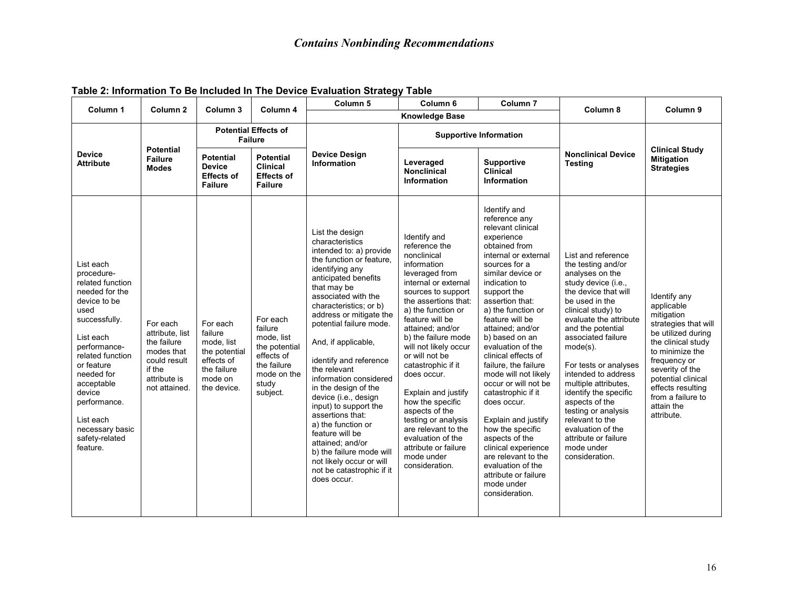| Column <sub>1</sub>                                                                                                                                                                                                                                                                       | Column <sub>2</sub>                                                                                                 | Column 3                                                                                                  | Column 4                                                                                                            | Column <sub>5</sub>                                                                                                                                                                                                                                                                                                                                                                                                                                                                                                                                                                                                 | Column <sub>6</sub>                                                                                                                                                                                                                                                                                                                                                                                                                                                                                             | Column <sub>7</sub>                                                                                                                                                                                                                                                                                                                                                                                                                                                                                                                                                                                                                | Column 8                                                                                                                                                                                                                                                                                                                                                                                                                                                                         | Column 9                                                                                                                                                                                                                                                       |
|-------------------------------------------------------------------------------------------------------------------------------------------------------------------------------------------------------------------------------------------------------------------------------------------|---------------------------------------------------------------------------------------------------------------------|-----------------------------------------------------------------------------------------------------------|---------------------------------------------------------------------------------------------------------------------|---------------------------------------------------------------------------------------------------------------------------------------------------------------------------------------------------------------------------------------------------------------------------------------------------------------------------------------------------------------------------------------------------------------------------------------------------------------------------------------------------------------------------------------------------------------------------------------------------------------------|-----------------------------------------------------------------------------------------------------------------------------------------------------------------------------------------------------------------------------------------------------------------------------------------------------------------------------------------------------------------------------------------------------------------------------------------------------------------------------------------------------------------|------------------------------------------------------------------------------------------------------------------------------------------------------------------------------------------------------------------------------------------------------------------------------------------------------------------------------------------------------------------------------------------------------------------------------------------------------------------------------------------------------------------------------------------------------------------------------------------------------------------------------------|----------------------------------------------------------------------------------------------------------------------------------------------------------------------------------------------------------------------------------------------------------------------------------------------------------------------------------------------------------------------------------------------------------------------------------------------------------------------------------|----------------------------------------------------------------------------------------------------------------------------------------------------------------------------------------------------------------------------------------------------------------|
|                                                                                                                                                                                                                                                                                           |                                                                                                                     | <b>Knowledge Base</b>                                                                                     |                                                                                                                     |                                                                                                                                                                                                                                                                                                                                                                                                                                                                                                                                                                                                                     |                                                                                                                                                                                                                                                                                                                                                                                                                                                                                                                 |                                                                                                                                                                                                                                                                                                                                                                                                                                                                                                                                                                                                                                    |                                                                                                                                                                                                                                                                                                                                                                                                                                                                                  |                                                                                                                                                                                                                                                                |
|                                                                                                                                                                                                                                                                                           |                                                                                                                     | <b>Potential Effects of</b><br><b>Failure</b>                                                             |                                                                                                                     |                                                                                                                                                                                                                                                                                                                                                                                                                                                                                                                                                                                                                     |                                                                                                                                                                                                                                                                                                                                                                                                                                                                                                                 | <b>Supportive Information</b>                                                                                                                                                                                                                                                                                                                                                                                                                                                                                                                                                                                                      |                                                                                                                                                                                                                                                                                                                                                                                                                                                                                  |                                                                                                                                                                                                                                                                |
| <b>Device</b><br><b>Attribute</b>                                                                                                                                                                                                                                                         | <b>Potential</b><br><b>Failure</b><br><b>Modes</b>                                                                  | <b>Potential</b><br><b>Device</b><br><b>Effects of</b><br><b>Failure</b>                                  | <b>Potential</b><br><b>Clinical</b><br><b>Effects of</b><br><b>Failure</b>                                          | <b>Device Design</b><br><b>Information</b>                                                                                                                                                                                                                                                                                                                                                                                                                                                                                                                                                                          | Leveraged<br><b>Nonclinical</b><br>Information                                                                                                                                                                                                                                                                                                                                                                                                                                                                  | <b>Supportive</b><br>Clinical<br><b>Information</b>                                                                                                                                                                                                                                                                                                                                                                                                                                                                                                                                                                                | <b>Nonclinical Device</b><br><b>Testing</b>                                                                                                                                                                                                                                                                                                                                                                                                                                      | <b>Clinical Study</b><br><b>Mitigation</b><br><b>Strategies</b>                                                                                                                                                                                                |
| List each<br>procedure-<br>related function<br>needed for the<br>device to be<br>used<br>successfully.<br>List each<br>performance-<br>related function<br>or feature<br>needed for<br>acceptable<br>device<br>performance.<br>List each<br>necessary basic<br>safety-related<br>feature. | For each<br>attribute, list<br>the failure<br>modes that<br>could result<br>if the<br>attribute is<br>not attained. | For each<br>failure<br>mode, list<br>the potential<br>effects of<br>the failure<br>mode on<br>the device. | For each<br>failure<br>mode, list<br>the potential<br>effects of<br>the failure<br>mode on the<br>study<br>subject. | List the design<br>characteristics<br>intended to: a) provide<br>the function or feature.<br>identifying any<br>anticipated benefits<br>that may be<br>associated with the<br>characteristics; or b)<br>address or mitigate the<br>potential failure mode.<br>And, if applicable,<br>identify and reference<br>the relevant<br>information considered<br>in the design of the<br>device (i.e., design<br>input) to support the<br>assertions that:<br>a) the function or<br>feature will be<br>attained; and/or<br>b) the failure mode will<br>not likely occur or will<br>not be catastrophic if it<br>does occur. | Identify and<br>reference the<br>nonclinical<br>information<br>leveraged from<br>internal or external<br>sources to support<br>the assertions that:<br>a) the function or<br>feature will be<br>attained; and/or<br>b) the failure mode<br>will not likely occur<br>or will not be<br>catastrophic if it<br>does occur.<br>Explain and justify<br>how the specific<br>aspects of the<br>testing or analysis<br>are relevant to the<br>evaluation of the<br>attribute or failure<br>mode under<br>consideration. | Identify and<br>reference any<br>relevant clinical<br>experience<br>obtained from<br>internal or external<br>sources for a<br>similar device or<br>indication to<br>support the<br>assertion that:<br>a) the function or<br>feature will be<br>attained; and/or<br>b) based on an<br>evaluation of the<br>clinical effects of<br>failure, the failure<br>mode will not likely<br>occur or will not be<br>catastrophic if it<br>does occur.<br>Explain and justify<br>how the specific<br>aspects of the<br>clinical experience<br>are relevant to the<br>evaluation of the<br>attribute or failure<br>mode under<br>consideration. | List and reference<br>the testing and/or<br>analyses on the<br>study device (i.e.,<br>the device that will<br>be used in the<br>clinical study) to<br>evaluate the attribute<br>and the potential<br>associated failure<br>$mode(s)$ .<br>For tests or analyses<br>intended to address<br>multiple attributes,<br>identify the specific<br>aspects of the<br>testing or analysis<br>relevant to the<br>evaluation of the<br>attribute or failure<br>mode under<br>consideration. | Identify any<br>applicable<br>mitigation<br>strategies that will<br>be utilized during<br>the clinical study<br>to minimize the<br>frequency or<br>severity of the<br>potential clinical<br>effects resulting<br>from a failure to<br>attain the<br>attribute. |

#### **Table 2: Information To Be Included In The Device Evaluation Strategy Table**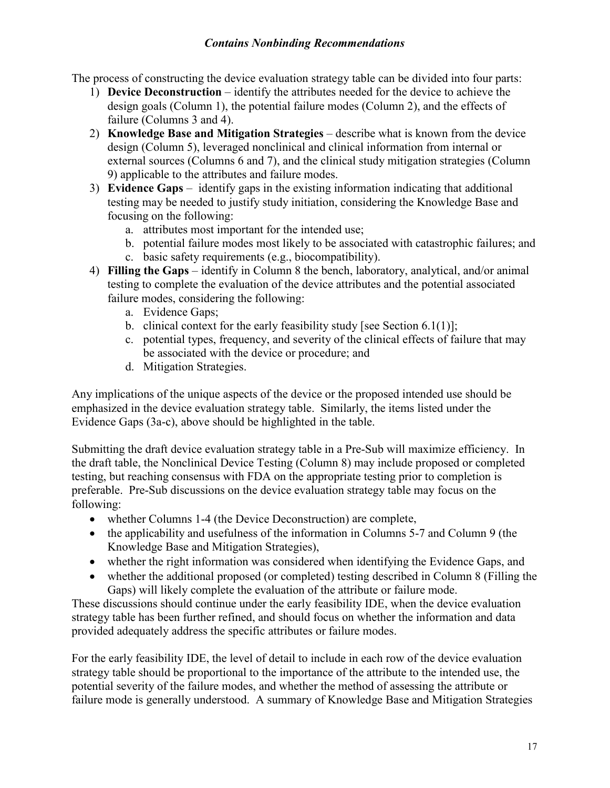The process of constructing the device evaluation strategy table can be divided into four parts:

- 1) **Device Deconstruction**  identify the attributes needed for the device to achieve the design goals (Column 1), the potential failure modes (Column 2), and the effects of failure (Columns 3 and 4).
- 2) **Knowledge Base and Mitigation Strategies** describe what is known from the device design (Column 5), leveraged nonclinical and clinical information from internal or external sources (Columns 6 and 7), and the clinical study mitigation strategies (Column 9) applicable to the attributes and failure modes.
- 3) **Evidence Gaps** identify gaps in the existing information indicating that additional testing may be needed to justify study initiation, considering the Knowledge Base and focusing on the following:
	- a. attributes most important for the intended use;
	- b. potential failure modes most likely to be associated with catastrophic failures; and
	- c. basic safety requirements (e.g., biocompatibility).
- 4) **Filling the Gaps** identify in Column 8 the bench, laboratory, analytical, and/or animal testing to complete the evaluation of the device attributes and the potential associated failure modes, considering the following:
	- a. Evidence Gaps;
	- b. clinical context for the early feasibility study [see Section  $6.1(1)$ ];
	- c. potential types, frequency, and severity of the clinical effects of failure that may be associated with the device or procedure; and
	- d. Mitigation Strategies.

Any implications of the unique aspects of the device or the proposed intended use should be emphasized in the device evaluation strategy table. Similarly, the items listed under the Evidence Gaps (3a-c), above should be highlighted in the table.

Submitting the draft device evaluation strategy table in a Pre-Sub will maximize efficiency. In the draft table, the Nonclinical Device Testing (Column 8) may include proposed or completed testing, but reaching consensus with FDA on the appropriate testing prior to completion is preferable. Pre-Sub discussions on the device evaluation strategy table may focus on the following:

- whether Columns 1-4 (the Device Deconstruction) are complete,
- the applicability and usefulness of the information in Columns 5-7 and Column 9 (the Knowledge Base and Mitigation Strategies),
- whether the right information was considered when identifying the Evidence Gaps, and
- whether the additional proposed (or completed) testing described in Column 8 (Filling the Gaps) will likely complete the evaluation of the attribute or failure mode.

These discussions should continue under the early feasibility IDE, when the device evaluation strategy table has been further refined, and should focus on whether the information and data provided adequately address the specific attributes or failure modes.

For the early feasibility IDE, the level of detail to include in each row of the device evaluation strategy table should be proportional to the importance of the attribute to the intended use, the potential severity of the failure modes, and whether the method of assessing the attribute or failure mode is generally understood. A summary of Knowledge Base and Mitigation Strategies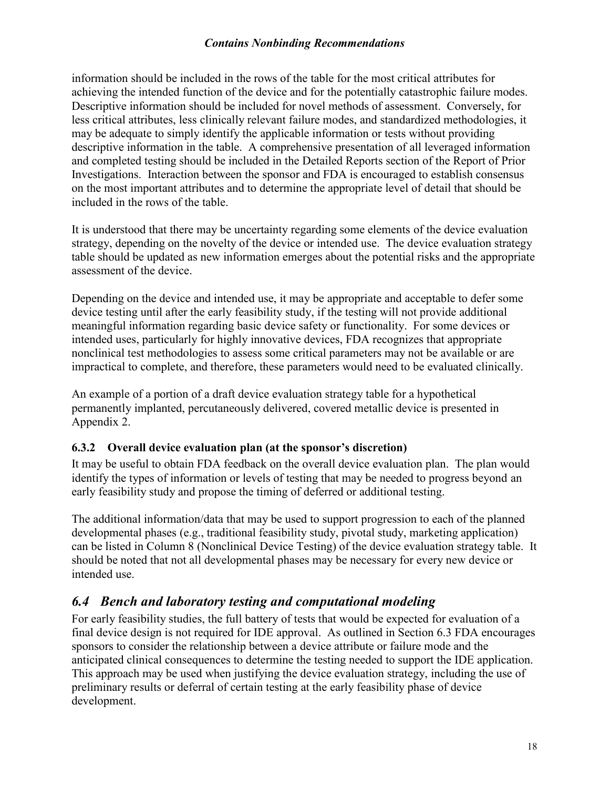information should be included in the rows of the table for the most critical attributes for achieving the intended function of the device and for the potentially catastrophic failure modes. Descriptive information should be included for novel methods of assessment. Conversely, for less critical attributes, less clinically relevant failure modes, and standardized methodologies, it may be adequate to simply identify the applicable information or tests without providing descriptive information in the table. A comprehensive presentation of all leveraged information and completed testing should be included in the Detailed Reports section of the Report of Prior Investigations. Interaction between the sponsor and FDA is encouraged to establish consensus on the most important attributes and to determine the appropriate level of detail that should be included in the rows of the table.

It is understood that there may be uncertainty regarding some elements of the device evaluation strategy, depending on the novelty of the device or intended use. The device evaluation strategy table should be updated as new information emerges about the potential risks and the appropriate assessment of the device.

Depending on the device and intended use, it may be appropriate and acceptable to defer some device testing until after the early feasibility study, if the testing will not provide additional meaningful information regarding basic device safety or functionality. For some devices or intended uses, particularly for highly innovative devices, FDA recognizes that appropriate nonclinical test methodologies to assess some critical parameters may not be available or are impractical to complete, and therefore, these parameters would need to be evaluated clinically.

An example of a portion of a draft device evaluation strategy table for a hypothetical permanently implanted, percutaneously delivered, covered metallic device is presented in Appendix 2.

#### <span id="page-17-0"></span>**6.3.2 Overall device evaluation plan (at the sponsor's discretion)**

It may be useful to obtain FDA feedback on the overall device evaluation plan. The plan would identify the types of information or levels of testing that may be needed to progress beyond an early feasibility study and propose the timing of deferred or additional testing.

The additional information/data that may be used to support progression to each of the planned developmental phases (e.g., traditional feasibility study, pivotal study, marketing application) can be listed in Column 8 (Nonclinical Device Testing) of the device evaluation strategy table. It should be noted that not all developmental phases may be necessary for every new device or intended use.

### <span id="page-17-1"></span>*6.4 Bench and laboratory testing and computational modeling*

For early feasibility studies, the full battery of tests that would be expected for evaluation of a final device design is not required for IDE approval. As outlined in Section 6.3 FDA encourages sponsors to consider the relationship between a device attribute or failure mode and the anticipated clinical consequences to determine the testing needed to support the IDE application. This approach may be used when justifying the device evaluation strategy, including the use of preliminary results or deferral of certain testing at the early feasibility phase of device development.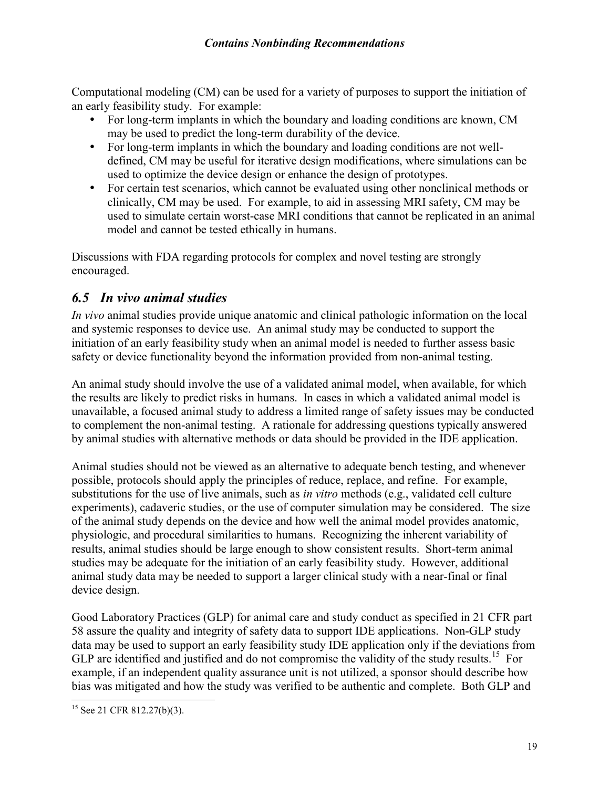Computational modeling (CM) can be used for a variety of purposes to support the initiation of an early feasibility study. For example:

- For long-term implants in which the boundary and loading conditions are known, CM may be used to predict the long-term durability of the device.
- For long-term implants in which the boundary and loading conditions are not welldefined, CM may be useful for iterative design modifications, where simulations can be used to optimize the device design or enhance the design of prototypes.
- For certain test scenarios, which cannot be evaluated using other nonclinical methods or clinically, CM may be used. For example, to aid in assessing MRI safety, CM may be used to simulate certain worst-case MRI conditions that cannot be replicated in an animal model and cannot be tested ethically in humans.

Discussions with FDA regarding protocols for complex and novel testing are strongly encouraged.

### <span id="page-18-0"></span>*6.5 In vivo animal studies*

*In vivo* animal studies provide unique anatomic and clinical pathologic information on the local and systemic responses to device use. An animal study may be conducted to support the initiation of an early feasibility study when an animal model is needed to further assess basic safety or device functionality beyond the information provided from non-animal testing.

An animal study should involve the use of a validated animal model, when available, for which the results are likely to predict risks in humans. In cases in which a validated animal model is unavailable, a focused animal study to address a limited range of safety issues may be conducted to complement the non-animal testing. A rationale for addressing questions typically answered by animal studies with alternative methods or data should be provided in the IDE application.

Animal studies should not be viewed as an alternative to adequate bench testing, and whenever possible, protocols should apply the principles of reduce, replace, and refine. For example, substitutions for the use of live animals, such as *in vitro* methods (e.g., validated cell culture experiments), cadaveric studies, or the use of computer simulation may be considered. The size of the animal study depends on the device and how well the animal model provides anatomic, physiologic, and procedural similarities to humans. Recognizing the inherent variability of results, animal studies should be large enough to show consistent results. Short-term animal studies may be adequate for the initiation of an early feasibility study. However, additional animal study data may be needed to support a larger clinical study with a near-final or final device design.

Good Laboratory Practices (GLP) for animal care and study conduct as specified in 21 CFR part 58 assure the quality and integrity of safety data to support IDE applications. Non-GLP study data may be used to support an early feasibility study IDE application only if the deviations from GLP are identified and justified and do not compromise the validity of the study results.<sup>[15](#page-18-1)</sup> For example, if an independent quality assurance unit is not utilized, a sponsor should describe how bias was mitigated and how the study was verified to be authentic and complete. Both GLP and

<span id="page-18-1"></span> $\overline{a}$  $15$  See 21 CFR 812.27(b)(3).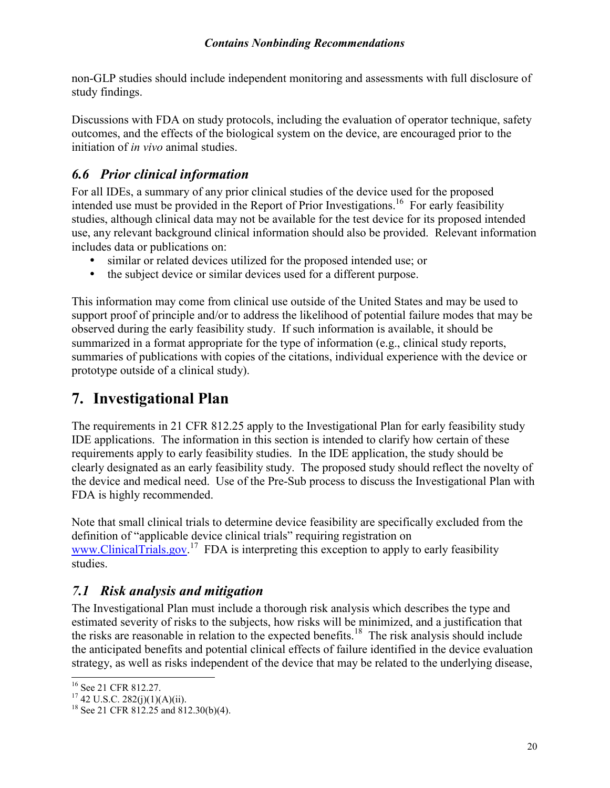non-GLP studies should include independent monitoring and assessments with full disclosure of study findings.

Discussions with FDA on study protocols, including the evaluation of operator technique, safety outcomes, and the effects of the biological system on the device, are encouraged prior to the initiation of *in vivo* animal studies.

## <span id="page-19-0"></span>*6.6 Prior clinical information*

For all IDEs, a summary of any prior clinical studies of the device used for the proposed intended use must be provided in the Report of Prior Investigations.<sup>[16](#page-19-3)</sup> For early feasibility studies, although clinical data may not be available for the test device for its proposed intended use, any relevant background clinical information should also be provided. Relevant information includes data or publications on:

- similar or related devices utilized for the proposed intended use; or
- the subject device or similar devices used for a different purpose.

This information may come from clinical use outside of the United States and may be used to support proof of principle and/or to address the likelihood of potential failure modes that may be observed during the early feasibility study. If such information is available, it should be summarized in a format appropriate for the type of information (e.g., clinical study reports, summaries of publications with copies of the citations, individual experience with the device or prototype outside of a clinical study).

## <span id="page-19-1"></span>**7. Investigational Plan**

The requirements in 21 CFR 812.25 apply to the Investigational Plan for early feasibility study IDE applications. The information in this section is intended to clarify how certain of these requirements apply to early feasibility studies. In the IDE application, the study should be clearly designated as an early feasibility study. The proposed study should reflect the novelty of the device and medical need. Use of the Pre-Sub process to discuss the Investigational Plan with FDA is highly recommended.

Note that small clinical trials to determine device feasibility are specifically excluded from the definition of "applicable device clinical trials" requiring registration on www.ClinicalTrials.gov.<sup>[17](#page-19-4)</sup> FDA is interpreting this exception to apply to early feasibility studies.

#### <span id="page-19-2"></span>*7.1 Risk analysis and mitigation*

The Investigational Plan must include a thorough risk analysis which describes the type and estimated severity of risks to the subjects, how risks will be minimized, and a justification that the risks are reasonable in relation to the expected benefits.<sup>[18](#page-19-5)</sup> The risk analysis should include the anticipated benefits and potential clinical effects of failure identified in the device evaluation strategy, as well as risks independent of the device that may be related to the underlying disease,

 $\overline{a}$ 

<span id="page-19-3"></span><sup>&</sup>lt;sup>16</sup> See 21 CFR 812.27.

<span id="page-19-4"></span> $17\frac{386621}{21}$  C.R.  $282(j)(1)(A)(ii)$ .

<span id="page-19-5"></span><sup>&</sup>lt;sup>18</sup> See 21 CFR 812.25 and 812.30(b)(4).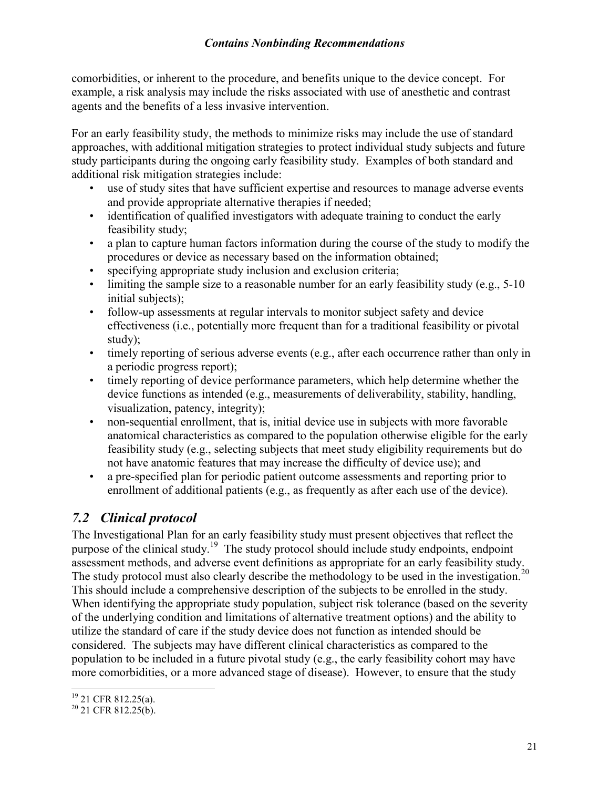comorbidities, or inherent to the procedure, and benefits unique to the device concept. For example, a risk analysis may include the risks associated with use of anesthetic and contrast agents and the benefits of a less invasive intervention.

For an early feasibility study, the methods to minimize risks may include the use of standard approaches, with additional mitigation strategies to protect individual study subjects and future study participants during the ongoing early feasibility study. Examples of both standard and additional risk mitigation strategies include:

- use of study sites that have sufficient expertise and resources to manage adverse events and provide appropriate alternative therapies if needed;
- identification of qualified investigators with adequate training to conduct the early feasibility study;
- a plan to capture human factors information during the course of the study to modify the procedures or device as necessary based on the information obtained;
- specifying appropriate study inclusion and exclusion criteria;
- limiting the sample size to a reasonable number for an early feasibility study (e.g., 5-10) initial subjects);
- follow-up assessments at regular intervals to monitor subject safety and device effectiveness (i.e., potentially more frequent than for a traditional feasibility or pivotal study);
- timely reporting of serious adverse events (e.g., after each occurrence rather than only in a periodic progress report);
- timely reporting of device performance parameters, which help determine whether the device functions as intended (e.g., measurements of deliverability, stability, handling, visualization, patency, integrity);
- non-sequential enrollment, that is, initial device use in subjects with more favorable anatomical characteristics as compared to the population otherwise eligible for the early feasibility study (e.g., selecting subjects that meet study eligibility requirements but do not have anatomic features that may increase the difficulty of device use); and
- a pre-specified plan for periodic patient outcome assessments and reporting prior to enrollment of additional patients (e.g., as frequently as after each use of the device).

## <span id="page-20-0"></span>*7.2 Clinical protocol*

The Investigational Plan for an early feasibility study must present objectives that reflect the purpose of the clinical study.<sup>[19](#page-20-1)</sup> The study protocol should include study endpoints, endpoint assessment methods, and adverse event definitions as appropriate for an early feasibility study. The study protocol must also clearly describe the methodology to be used in the investigation.<sup>[20](#page-20-2)</sup> This should include a comprehensive description of the subjects to be enrolled in the study. When identifying the appropriate study population, subject risk tolerance (based on the severity of the underlying condition and limitations of alternative treatment options) and the ability to utilize the standard of care if the study device does not function as intended should be considered. The subjects may have different clinical characteristics as compared to the population to be included in a future pivotal study (e.g., the early feasibility cohort may have more comorbidities, or a more advanced stage of disease). However, to ensure that the study

<span id="page-20-1"></span> $\overline{a}$  $19$  21 CFR 812.25(a).

<span id="page-20-2"></span><sup>&</sup>lt;sup>20</sup> 21 CFR 812.25(b).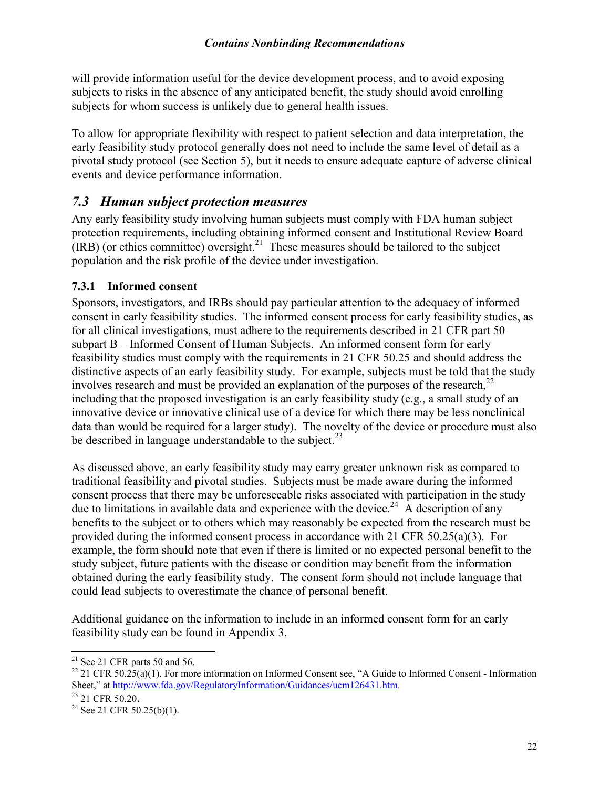will provide information useful for the device development process, and to avoid exposing subjects to risks in the absence of any anticipated benefit, the study should avoid enrolling subjects for whom success is unlikely due to general health issues.

To allow for appropriate flexibility with respect to patient selection and data interpretation, the early feasibility study protocol generally does not need to include the same level of detail as a pivotal study protocol (see Section 5), but it needs to ensure adequate capture of adverse clinical events and device performance information.

#### <span id="page-21-0"></span>*7.3 Human subject protection measures*

Any early feasibility study involving human subjects must comply with FDA human subject protection requirements, including obtaining informed consent and Institutional Review Board  $(IRB)$  (or ethics committee) oversight.<sup>[21](#page-21-2)</sup> These measures should be tailored to the subject population and the risk profile of the device under investigation.

#### <span id="page-21-1"></span>**7.3.1 Informed consent**

Sponsors, investigators, and IRBs should pay particular attention to the adequacy of informed consent in early feasibility studies. The informed consent process for early feasibility studies, as for all clinical investigations, must adhere to the requirements described in 21 CFR part 50 subpart B – Informed Consent of Human Subjects. An informed consent form for early feasibility studies must comply with the requirements in 21 CFR 50.25 and should address the distinctive aspects of an early feasibility study. For example, subjects must be told that the study involves research and must be provided an explanation of the purposes of the research,<sup>[22](#page-21-3)</sup> including that the proposed investigation is an early feasibility study (e.g., a small study of an innovative device or innovative clinical use of a device for which there may be less nonclinical data than would be required for a larger study). The novelty of the device or procedure must also be described in language understandable to the subject. $^{23}$  $^{23}$  $^{23}$ 

As discussed above, an early feasibility study may carry greater unknown risk as compared to traditional feasibility and pivotal studies. Subjects must be made aware during the informed consent process that there may be unforeseeable risks associated with participation in the study due to limitations in available data and experience with the device.<sup>[24](#page-21-5)</sup> A description of any benefits to the subject or to others which may reasonably be expected from the research must be provided during the informed consent process in accordance with 21 CFR 50.25(a)(3). For example, the form should note that even if there is limited or no expected personal benefit to the study subject, future patients with the disease or condition may benefit from the information obtained during the early feasibility study. The consent form should not include language that could lead subjects to overestimate the chance of personal benefit.

Additional guidance on the information to include in an informed consent form for an early feasibility study can be found in Appendix 3.

 $\overline{a}$ 

<span id="page-21-2"></span> $21$  See 21 CFR parts 50 and 56.

<span id="page-21-3"></span><sup>&</sup>lt;sup>22</sup> 21 CFR 50.25(a)(1). For more information on Informed Consent see, "A Guide to Informed Consent - Information Sheet," at [http://www.fda.gov/RegulatoryInformation/Guidances/ucm126431.htm.](http://www.fda.gov/RegulatoryInformation/Guidances/ucm126431.htm) 

<span id="page-21-4"></span><sup>&</sup>lt;sup>23</sup> 21 CFR 50.20.

<span id="page-21-5"></span><sup>&</sup>lt;sup>24</sup> See 21 CFR 50.25(b)(1).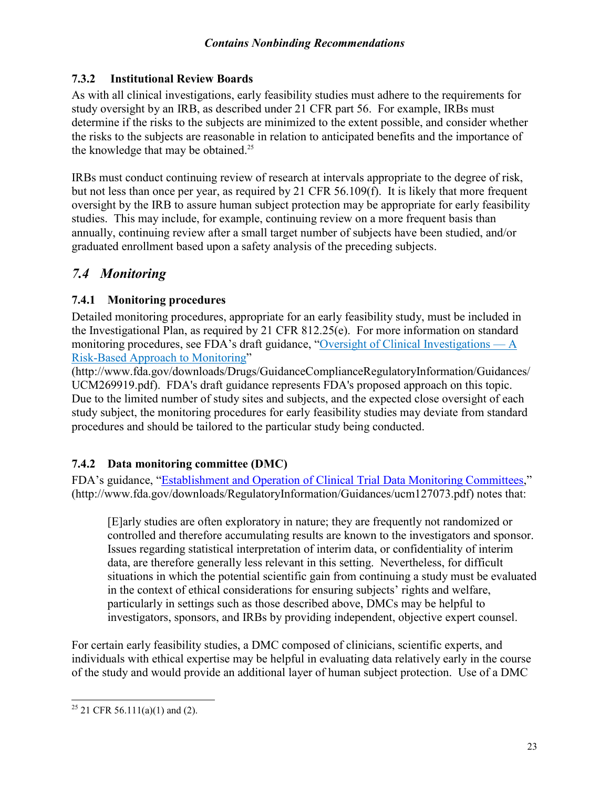#### <span id="page-22-0"></span>**7.3.2 Institutional Review Boards**

As with all clinical investigations, early feasibility studies must adhere to the requirements for study oversight by an IRB, as described under 21 CFR part 56. For example, IRBs must determine if the risks to the subjects are minimized to the extent possible, and consider whether the risks to the subjects are reasonable in relation to anticipated benefits and the importance of the knowledge that may be obtained.<sup>[25](#page-22-4)</sup>

IRBs must conduct continuing review of research at intervals appropriate to the degree of risk, but not less than once per year, as required by 21 CFR 56.109(f). It is likely that more frequent oversight by the IRB to assure human subject protection may be appropriate for early feasibility studies. This may include, for example, continuing review on a more frequent basis than annually, continuing review after a small target number of subjects have been studied, and/or graduated enrollment based upon a safety analysis of the preceding subjects.

### <span id="page-22-1"></span>*7.4 Monitoring*

#### <span id="page-22-2"></span>**7.4.1 Monitoring procedures**

Detailed monitoring procedures, appropriate for an early feasibility study, must be included in the Investigational Plan, as required by 21 CFR 812.25(e). For more information on standard monitoring procedures, see FDA's draft guidance, ["Oversight of Clinical Investigations —](http://www.fda.gov/downloads/Drugs/GuidanceComplianceRegulatoryInformation/Guidances/UCM269919.pdf) A [Risk-Based Approach](http://www.fda.gov/downloads/Drugs/GuidanceComplianceRegulatoryInformation/Guidances/UCM269919.pdf) to Monitoring"

(http://www.fda.gov/downloads/Drugs/GuidanceComplianceRegulatoryInformation/Guidances/ UCM269919.pdf). FDA's draft guidance represents FDA's proposed approach on this topic. Due to the limited number of study sites and subjects, and the expected close oversight of each study subject, the monitoring procedures for early feasibility studies may deviate from standard procedures and should be tailored to the particular study being conducted.

#### <span id="page-22-3"></span>**7.4.2 Data monitoring committee (DMC)**

FDA's guidance, ["Establishment and Operation of Clinical Trial Data Monitoring Committees,"](http://www.fda.gov/downloads/RegulatoryInformation/Guidances/ucm127073.pdf)  (http://www.fda.gov/downloads/RegulatoryInformation/Guidances/ucm127073.pdf) notes that:

[E]arly studies are often exploratory in nature; they are frequently not randomized or controlled and therefore accumulating results are known to the investigators and sponsor. Issues regarding statistical interpretation of interim data, or confidentiality of interim data, are therefore generally less relevant in this setting. Nevertheless, for difficult situations in which the potential scientific gain from continuing a study must be evaluated in the context of ethical considerations for ensuring subjects' rights and welfare, particularly in settings such as those described above, DMCs may be helpful to investigators, sponsors, and IRBs by providing independent, objective expert counsel.

For certain early feasibility studies, a DMC composed of clinicians, scientific experts, and individuals with ethical expertise may be helpful in evaluating data relatively early in the course of the study and would provide an additional layer of human subject protection. Use of a DMC

<span id="page-22-4"></span> $\overline{a}$ <sup>25</sup> 21 CFR 56.111(a)(1) and (2).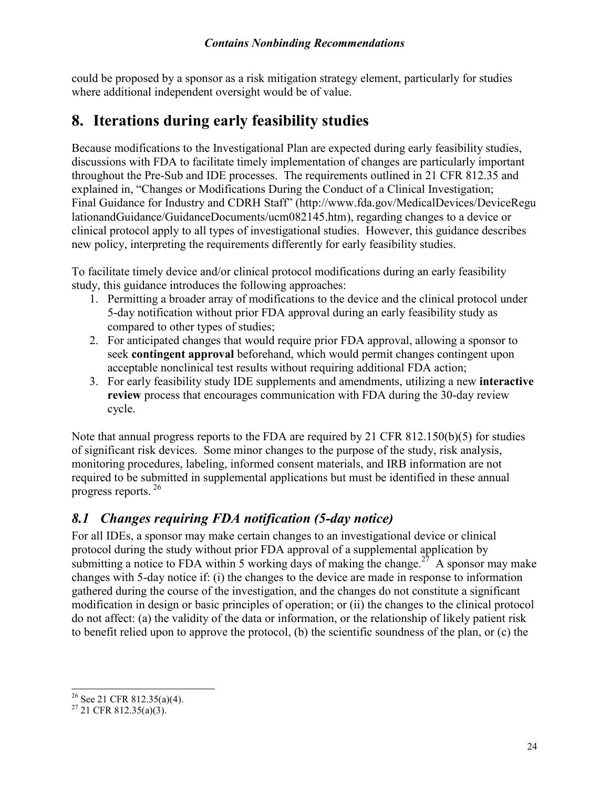could be proposed by a sponsor as a risk mitigation strategy element, particularly for studies where additional independent oversight would be of value.

## <span id="page-23-0"></span>**8. Iterations during early feasibility studies**

Because modifications to the Investigational Plan are expected during early feasibility studies, discussions with FDA to facilitate timely implementation of changes are particularly important throughout the Pre-Sub and IDE processes. The requirements outlined in 21 CFR 812.35 and explained in, "Changes or Modifications During the Conduct of a Clinical Investigation; Final Guidance for Industry and CDRH Staff" (http://www.fda.gov/MedicalDevices/DeviceRegu lationandGuidance/GuidanceDocuments/ucm082145.htm), regarding changes to a device or clinical protocol apply to all types of investigational studies. However, this guidance describes new policy, interpreting the requirements differently for early feasibility studies.

To facilitate timely device and/or clinical protocol modifications during an early feasibility study, this guidance introduces the following approaches:

- 1. Permitting a broader array of modifications to the device and the clinical protocol under 5-day notification without prior FDA approval during an early feasibility study as compared to other types of studies;
- 2. For anticipated changes that would require prior FDA approval, allowing a sponsor to seek **contingent approval** beforehand, which would permit changes contingent upon acceptable nonclinical test results without requiring additional FDA action;
- 3. For early feasibility study IDE supplements and amendments, utilizing a new **interactive review** process that encourages communication with FDA during the 30-day review cycle.

Note that annual progress reports to the FDA are required by 21 CFR 812.150(b)(5) for studies of significant risk devices. Some minor changes to the purpose of the study, risk analysis, monitoring procedures, labeling, informed consent materials, and IRB information are not required to be submitted in supplemental applications but must be identified in these annual progress reports.<sup>[26](#page-23-2)</sup>

## <span id="page-23-1"></span>*8.1 Changes requiring FDA notification (5-day notice)*

For all IDEs, a sponsor may make certain changes to an investigational device or clinical protocol during the study without prior FDA approval of a supplemental application by submitting a notice to FDA within 5 working days of making the change.<sup>[27](#page-23-3)</sup> A sponsor may make changes with 5-day notice if: (i) the changes to the device are made in response to information gathered during the course of the investigation, and the changes do not constitute a significant modification in design or basic principles of operation; or (ii) the changes to the clinical protocol do not affect: (a) the validity of the data or information, or the relationship of likely patient risk to benefit relied upon to approve the protocol, (b) the scientific soundness of the plan, or (c) the

<span id="page-23-2"></span> $\overline{a}$ <sup>26</sup> See 21 CFR 812.35(a)(4).

<span id="page-23-3"></span> $27$  21 CFR 812.35(a)(3).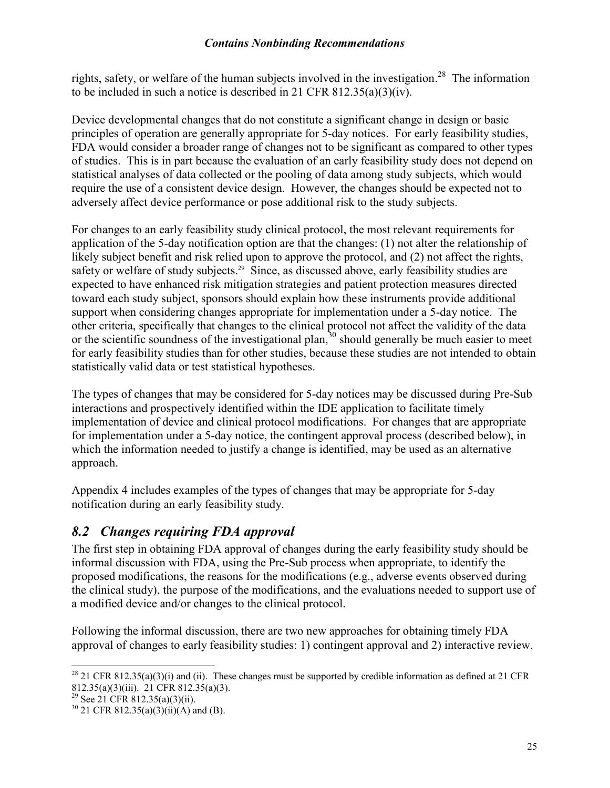rights, safety, or welfare of the human subjects involved in the investigation.<sup>[28](#page-24-1)</sup> The information to be included in such a notice is described in 21 CFR 812.35(a)(3)(iv).

Device developmental changes that do not constitute a significant change in design or basic principles of operation are generally appropriate for 5-day notices. For early feasibility studies, FDA would consider a broader range of changes not to be significant as compared to other types of studies. This is in part because the evaluation of an early feasibility study does not depend on statistical analyses of data collected or the pooling of data among study subjects, which would require the use of a consistent device design. However, the changes should be expected not to adversely affect device performance or pose additional risk to the study subjects.

For changes to an early feasibility study clinical protocol, the most relevant requirements for application of the 5-day notification option are that the changes: (1) not alter the relationship of likely subject benefit and risk relied upon to approve the protocol, and (2) not affect the rights, safety or welfare of study subjects.<sup>[29](#page-24-2)</sup> Since, as discussed above, early feasibility studies are expected to have enhanced risk mitigation strategies and patient protection measures directed toward each study subject, sponsors should explain how these instruments provide additional support when considering changes appropriate for implementation under a 5-day notice. The other criteria, specifically that changes to the clinical protocol not affect the validity of the data or the scientific soundness of the investigational plan,  $30$  should generally be much easier to meet for early feasibility studies than for other studies, because these studies are not intended to obtain statistically valid data or test statistical hypotheses.

The types of changes that may be considered for 5-day notices may be discussed during Pre-Sub interactions and prospectively identified within the IDE application to facilitate timely implementation of device and clinical protocol modifications. For changes that are appropriate for implementation under a 5-day notice, the contingent approval process (described below), in which the information needed to justify a change is identified, may be used as an alternative approach.

Appendix 4 includes examples of the types of changes that may be appropriate for 5-day notification during an early feasibility study.

#### <span id="page-24-0"></span>*8.2 Changes requiring FDA approval*

The first step in obtaining FDA approval of changes during the early feasibility study should be informal discussion with FDA, using the Pre-Sub process when appropriate, to identify the proposed modifications, the reasons for the modifications (e.g., adverse events observed during the clinical study), the purpose of the modifications, and the evaluations needed to support use of a modified device and/or changes to the clinical protocol.

Following the informal discussion, there are two new approaches for obtaining timely FDA approval of changes to early feasibility studies: 1) contingent approval and 2) interactive review.

 $\overline{a}$ 

<span id="page-24-1"></span><sup>&</sup>lt;sup>28</sup> 21 CFR 812.35(a)(3)(i) and (ii). These changes must be supported by credible information as defined at 21 CFR 812.35(a)(3)(iii). 21 CFR 812.35(a)(3).

<span id="page-24-2"></span><sup>&</sup>lt;sup>29</sup> See 21 CFR 812.35(a)(3)(ii).

<span id="page-24-3"></span> $30$  21 CFR 812.35(a)(3)(ii)(A) and (B).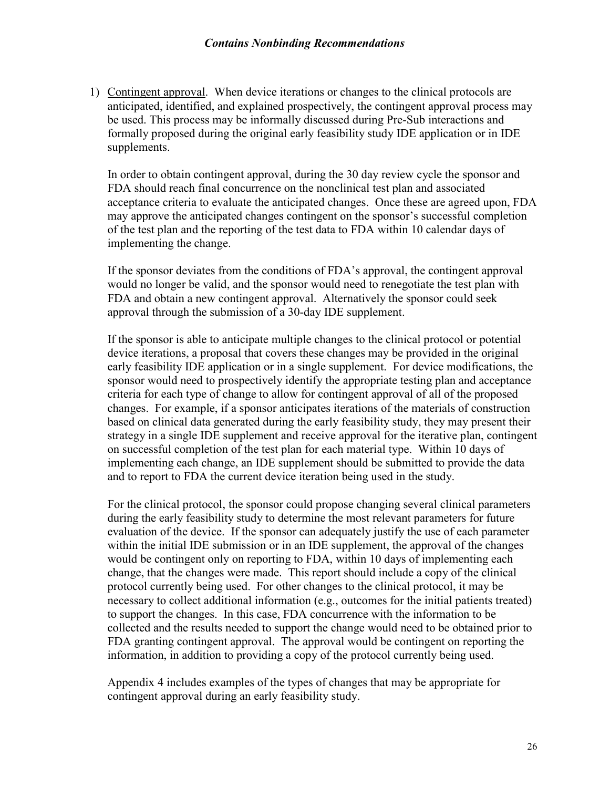1) Contingent approval. When device iterations or changes to the clinical protocols are anticipated, identified, and explained prospectively, the contingent approval process may be used. This process may be informally discussed during Pre-Sub interactions and formally proposed during the original early feasibility study IDE application or in IDE supplements.

In order to obtain contingent approval, during the 30 day review cycle the sponsor and FDA should reach final concurrence on the nonclinical test plan and associated acceptance criteria to evaluate the anticipated changes. Once these are agreed upon, FDA may approve the anticipated changes contingent on the sponsor's successful completion of the test plan and the reporting of the test data to FDA within 10 calendar days of implementing the change.

If the sponsor deviates from the conditions of FDA's approval, the contingent approval would no longer be valid, and the sponsor would need to renegotiate the test plan with FDA and obtain a new contingent approval. Alternatively the sponsor could seek approval through the submission of a 30-day IDE supplement.

If the sponsor is able to anticipate multiple changes to the clinical protocol or potential device iterations, a proposal that covers these changes may be provided in the original early feasibility IDE application or in a single supplement. For device modifications, the sponsor would need to prospectively identify the appropriate testing plan and acceptance criteria for each type of change to allow for contingent approval of all of the proposed changes. For example, if a sponsor anticipates iterations of the materials of construction based on clinical data generated during the early feasibility study, they may present their strategy in a single IDE supplement and receive approval for the iterative plan, contingent on successful completion of the test plan for each material type. Within 10 days of implementing each change, an IDE supplement should be submitted to provide the data and to report to FDA the current device iteration being used in the study.

For the clinical protocol, the sponsor could propose changing several clinical parameters during the early feasibility study to determine the most relevant parameters for future evaluation of the device. If the sponsor can adequately justify the use of each parameter within the initial IDE submission or in an IDE supplement, the approval of the changes would be contingent only on reporting to FDA, within 10 days of implementing each change, that the changes were made. This report should include a copy of the clinical protocol currently being used. For other changes to the clinical protocol, it may be necessary to collect additional information (e.g., outcomes for the initial patients treated) to support the changes. In this case, FDA concurrence with the information to be collected and the results needed to support the change would need to be obtained prior to FDA granting contingent approval. The approval would be contingent on reporting the information, in addition to providing a copy of the protocol currently being used.

Appendix 4 includes examples of the types of changes that may be appropriate for contingent approval during an early feasibility study.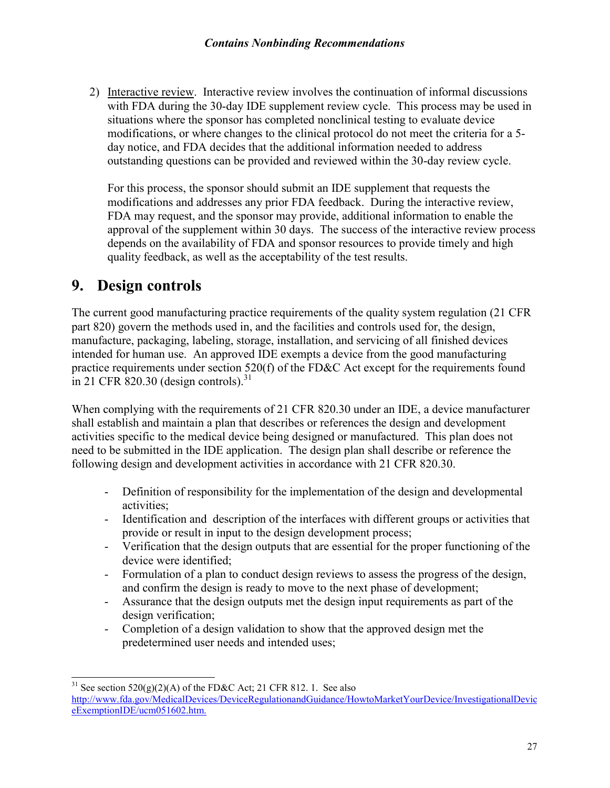2) Interactive review. Interactive review involves the continuation of informal discussions with FDA during the 30-day IDE supplement review cycle. This process may be used in situations where the sponsor has completed nonclinical testing to evaluate device modifications, or where changes to the clinical protocol do not meet the criteria for a 5 day notice, and FDA decides that the additional information needed to address outstanding questions can be provided and reviewed within the 30-day review cycle.

For this process, the sponsor should submit an IDE supplement that requests the modifications and addresses any prior FDA feedback. During the interactive review, FDA may request, and the sponsor may provide, additional information to enable the approval of the supplement within 30 days. The success of the interactive review process depends on the availability of FDA and sponsor resources to provide timely and high quality feedback, as well as the acceptability of the test results.

## <span id="page-26-0"></span>**9. Design controls**

 $\overline{a}$ 

The current good manufacturing practice requirements of the quality system regulation (21 CFR part 820) govern the methods used in, and the facilities and controls used for, the design, manufacture, packaging, labeling, storage, installation, and servicing of all finished devices intended for human use. An approved IDE exempts a device from the good manufacturing practice requirements under section 520(f) of the FD&C Act except for the requirements found in 21 CFR  $\overline{\text{820.30}}$  (design controls).<sup>[31](#page-26-1)</sup>

When complying with the requirements of 21 CFR 820.30 under an IDE, a device manufacturer shall establish and maintain a plan that describes or references the design and development activities specific to the medical device being designed or manufactured. This plan does not need to be submitted in the IDE application. The design plan shall describe or reference the following design and development activities in accordance with 21 CFR 820.30.

- Definition of responsibility for the implementation of the design and developmental activities;
- Identification and description of the interfaces with different groups or activities that provide or result in input to the design development process;
- Verification that the design outputs that are essential for the proper functioning of the device were identified;
- Formulation of a plan to conduct design reviews to assess the progress of the design, and confirm the design is ready to move to the next phase of development;
- Assurance that the design outputs met the design input requirements as part of the design verification;
- Completion of a design validation to show that the approved design met the predetermined user needs and intended uses;

<span id="page-26-1"></span><sup>&</sup>lt;sup>31</sup> See section 520(g)(2)(A) of the FD&C Act; 21 CFR 812. 1. See also [http://www.fda.gov/MedicalDevices/DeviceRegulationandGuidance/HowtoMarketYourDevice/InvestigationalDevic](http://www.fda.gov/MedicalDevices/DeviceRegulationandGuidance/HowtoMarketYourDevice/InvestigationalDeviceExemptionIDE/ucm051602.htm) [eExemptionIDE/ucm051602.htm.](http://www.fda.gov/MedicalDevices/DeviceRegulationandGuidance/HowtoMarketYourDevice/InvestigationalDeviceExemptionIDE/ucm051602.htm)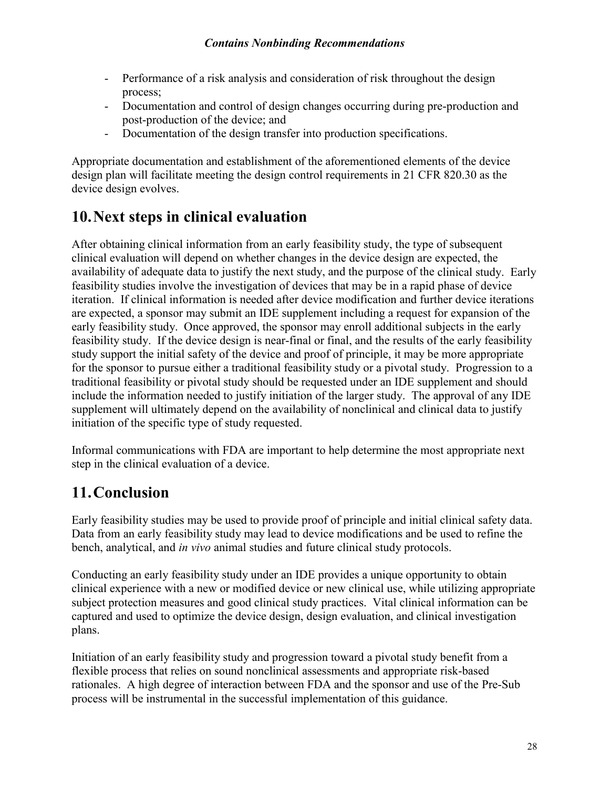- Performance of a risk analysis and consideration of risk throughout the design process;
- Documentation and control of design changes occurring during pre-production and post-production of the device; and
- Documentation of the design transfer into production specifications.

Appropriate documentation and establishment of the aforementioned elements of the device design plan will facilitate meeting the design control requirements in 21 CFR 820.30 as the device design evolves.

## <span id="page-27-0"></span>**10.Next steps in clinical evaluation**

After obtaining clinical information from an early feasibility study, the type of subsequent clinical evaluation will depend on whether changes in the device design are expected, the availability of adequate data to justify the next study, and the purpose of the clinical study. Early feasibility studies involve the investigation of devices that may be in a rapid phase of device iteration. If clinical information is needed after device modification and further device iterations are expected, a sponsor may submit an IDE supplement including a request for expansion of the early feasibility study. Once approved, the sponsor may enroll additional subjects in the early feasibility study. If the device design is near-final or final, and the results of the early feasibility study support the initial safety of the device and proof of principle, it may be more appropriate for the sponsor to pursue either a traditional feasibility study or a pivotal study. Progression to a traditional feasibility or pivotal study should be requested under an IDE supplement and should include the information needed to justify initiation of the larger study. The approval of any IDE supplement will ultimately depend on the availability of nonclinical and clinical data to justify initiation of the specific type of study requested.

Informal communications with FDA are important to help determine the most appropriate next step in the clinical evaluation of a device.

## <span id="page-27-1"></span>**11.Conclusion**

Early feasibility studies may be used to provide proof of principle and initial clinical safety data. Data from an early feasibility study may lead to device modifications and be used to refine the bench, analytical, and *in vivo* animal studies and future clinical study protocols.

Conducting an early feasibility study under an IDE provides a unique opportunity to obtain clinical experience with a new or modified device or new clinical use, while utilizing appropriate subject protection measures and good clinical study practices. Vital clinical information can be captured and used to optimize the device design, design evaluation, and clinical investigation plans.

Initiation of an early feasibility study and progression toward a pivotal study benefit from a flexible process that relies on sound nonclinical assessments and appropriate risk-based rationales. A high degree of interaction between FDA and the sponsor and use of the Pre-Sub process will be instrumental in the successful implementation of this guidance.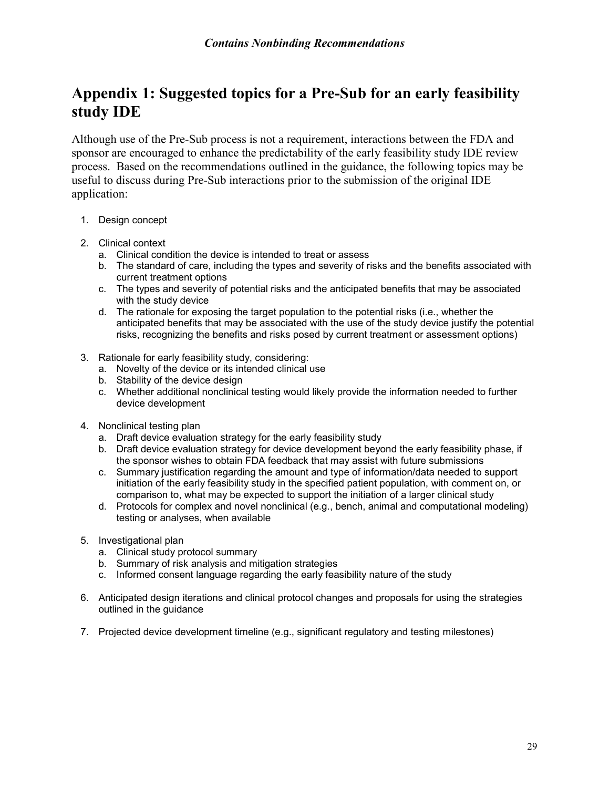## <span id="page-28-0"></span>**Appendix 1: Suggested topics for a Pre-Sub for an early feasibility study IDE**

Although use of the Pre-Sub process is not a requirement, interactions between the FDA and sponsor are encouraged to enhance the predictability of the early feasibility study IDE review process. Based on the recommendations outlined in the guidance, the following topics may be useful to discuss during Pre-Sub interactions prior to the submission of the original IDE application:

- 1. Design concept
- 2. Clinical context
	- a. Clinical condition the device is intended to treat or assess
	- b. The standard of care, including the types and severity of risks and the benefits associated with current treatment options
	- c. The types and severity of potential risks and the anticipated benefits that may be associated with the study device
	- d. The rationale for exposing the target population to the potential risks (i.e., whether the anticipated benefits that may be associated with the use of the study device justify the potential risks, recognizing the benefits and risks posed by current treatment or assessment options)
- 3. Rationale for early feasibility study, considering:
	- a. Novelty of the device or its intended clinical use
	- b. Stability of the device design
	- c. Whether additional nonclinical testing would likely provide the information needed to further device development
- 4. Nonclinical testing plan
	- a. Draft device evaluation strategy for the early feasibility study
	- b. Draft device evaluation strategy for device development beyond the early feasibility phase, if the sponsor wishes to obtain FDA feedback that may assist with future submissions
	- c. Summary justification regarding the amount and type of information/data needed to support initiation of the early feasibility study in the specified patient population, with comment on, or comparison to, what may be expected to support the initiation of a larger clinical study
	- d. Protocols for complex and novel nonclinical (e.g., bench, animal and computational modeling) testing or analyses, when available
- 5. Investigational plan
	- a. Clinical study protocol summary
	- b. Summary of risk analysis and mitigation strategies
	- c. Informed consent language regarding the early feasibility nature of the study
- 6. Anticipated design iterations and clinical protocol changes and proposals for using the strategies outlined in the guidance
- 7. Projected device development timeline (e.g., significant regulatory and testing milestones)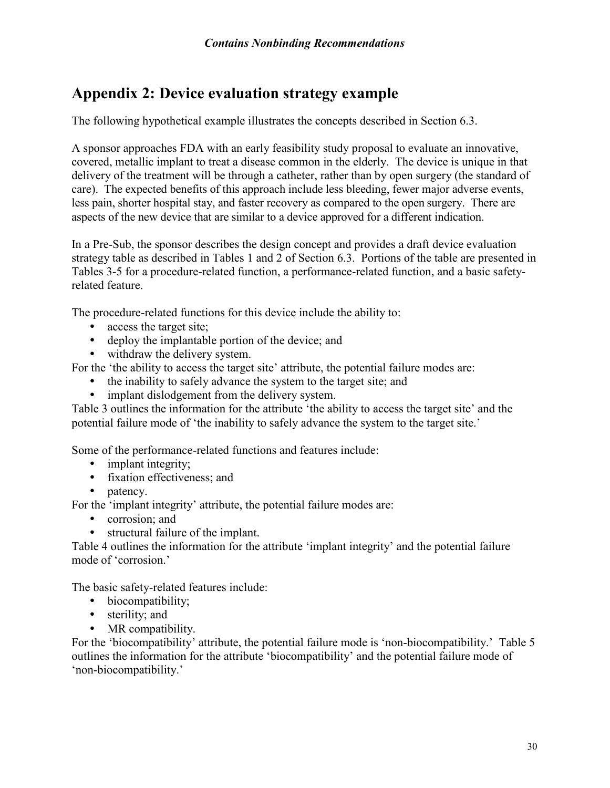## <span id="page-29-0"></span>**Appendix 2: Device evaluation strategy example**

The following hypothetical example illustrates the concepts described in Section 6.3.

A sponsor approaches FDA with an early feasibility study proposal to evaluate an innovative, covered, metallic implant to treat a disease common in the elderly. The device is unique in that delivery of the treatment will be through a catheter, rather than by open surgery (the standard of care). The expected benefits of this approach include less bleeding, fewer major adverse events, less pain, shorter hospital stay, and faster recovery as compared to the open surgery. There are aspects of the new device that are similar to a device approved for a different indication.

In a Pre-Sub, the sponsor describes the design concept and provides a draft device evaluation strategy table as described in Tables 1 and 2 of Section 6.3. Portions of the table are presented in Tables 3-5 for a procedure-related function, a performance-related function, and a basic safetyrelated feature.

The procedure-related functions for this device include the ability to:

- access the target site;
- deploy the implantable portion of the device; and
- withdraw the delivery system.

For the 'the ability to access the target site' attribute, the potential failure modes are:

- the inability to safely advance the system to the target site; and
- implant dislodgement from the delivery system.

Table 3 outlines the information for the attribute 'the ability to access the target site' and the potential failure mode of 'the inability to safely advance the system to the target site.'

Some of the performance-related functions and features include:

- implant integrity;
- fixation effectiveness; and
- patency.

For the 'implant integrity' attribute, the potential failure modes are:

- corrosion: and
- structural failure of the implant.

Table 4 outlines the information for the attribute 'implant integrity' and the potential failure mode of 'corrosion.'

The basic safety-related features include:

- biocompatibility;
- sterility; and
- MR compatibility.

For the 'biocompatibility' attribute, the potential failure mode is 'non-biocompatibility.' Table 5 outlines the information for the attribute 'biocompatibility' and the potential failure mode of 'non-biocompatibility.'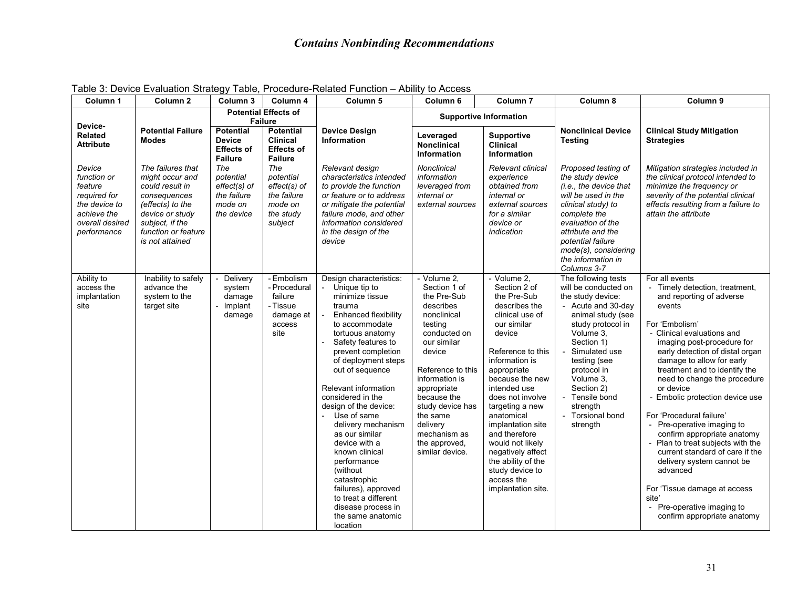| Column <sub>1</sub>                                                                                                                    | Column <sub>2</sub>                                                                                                                                                         | Column <sub>3</sub>                                                                                                       | Column 4                                                                                                                    | Column <sub>5</sub>                                                                                                                                                                                                                                                                                                                                                                                                                                                                                                                         | Column <sub>6</sub>                                                                                                                                                                                                                                                                             | Column <sub>7</sub>                                                                                                                                                                                                                                                                                                                                                                                               | Column 8                                                                                                                                                                                                                                                                                             | Column <sub>9</sub>                                                                                                                                                                                                                                                                                                                                                                                                                                                                                                                                                                                                                                                 |
|----------------------------------------------------------------------------------------------------------------------------------------|-----------------------------------------------------------------------------------------------------------------------------------------------------------------------------|---------------------------------------------------------------------------------------------------------------------------|-----------------------------------------------------------------------------------------------------------------------------|---------------------------------------------------------------------------------------------------------------------------------------------------------------------------------------------------------------------------------------------------------------------------------------------------------------------------------------------------------------------------------------------------------------------------------------------------------------------------------------------------------------------------------------------|-------------------------------------------------------------------------------------------------------------------------------------------------------------------------------------------------------------------------------------------------------------------------------------------------|-------------------------------------------------------------------------------------------------------------------------------------------------------------------------------------------------------------------------------------------------------------------------------------------------------------------------------------------------------------------------------------------------------------------|------------------------------------------------------------------------------------------------------------------------------------------------------------------------------------------------------------------------------------------------------------------------------------------------------|---------------------------------------------------------------------------------------------------------------------------------------------------------------------------------------------------------------------------------------------------------------------------------------------------------------------------------------------------------------------------------------------------------------------------------------------------------------------------------------------------------------------------------------------------------------------------------------------------------------------------------------------------------------------|
| Device-<br><b>Related</b>                                                                                                              | <b>Potential Failure</b><br><b>Modes</b>                                                                                                                                    | <b>Potential Effects of</b><br><b>Failure</b><br><b>Potential</b><br><b>Potential</b><br><b>Device</b><br><b>Clinical</b> |                                                                                                                             | <b>Device Design</b><br><b>Information</b>                                                                                                                                                                                                                                                                                                                                                                                                                                                                                                  | Leveraged                                                                                                                                                                                                                                                                                       | <b>Supportive Information</b><br><b>Supportive</b>                                                                                                                                                                                                                                                                                                                                                                |                                                                                                                                                                                                                                                                                                      | <b>Clinical Study Mitigation</b><br><b>Strategies</b>                                                                                                                                                                                                                                                                                                                                                                                                                                                                                                                                                                                                               |
| <b>Attribute</b><br>Device<br>function or<br>feature<br>required for<br>the device to<br>achieve the<br>overall desired<br>performance | The failures that<br>might occur and<br>could result in<br>consequences<br>(effects) to the<br>device or study<br>subject, if the<br>function or feature<br>is not attained | <b>Effects of</b><br><b>Failure</b><br>The<br>potential<br>effect(s) of<br>the failure<br>mode on<br>the device           | <b>Effects of</b><br><b>Failure</b><br>The<br>potential<br>$effect(s)$ of<br>the failure<br>mode on<br>the study<br>subject | Relevant design<br>characteristics intended<br>to provide the function<br>or feature or to address<br>or mitigate the potential<br>failure mode, and other<br>information considered<br>in the design of the<br>device                                                                                                                                                                                                                                                                                                                      | <b>Nonclinical</b><br><b>Information</b><br>Nonclinical<br>information<br>leveraged from<br>internal or<br>external sources                                                                                                                                                                     | <b>Clinical</b><br><b>Information</b><br>Relevant clinical<br>experience<br>obtained from<br>internal or<br>external sources<br>for a similar<br>device or<br>indication                                                                                                                                                                                                                                          | <b>Testing</b><br>Proposed testing of<br>the study device<br>(i.e., the device that<br>will be used in the<br>clinical study) to<br>complete the<br>evaluation of the<br>attribute and the<br>potential failure<br>mode(s), considering<br>the information in<br>Columns 3-7                         | Mitigation strategies included in<br>the clinical protocol intended to<br>minimize the frequency or<br>severity of the potential clinical<br>effects resulting from a failure to<br>attain the attribute                                                                                                                                                                                                                                                                                                                                                                                                                                                            |
| Ability to<br>access the<br>implantation<br>site                                                                                       | Inability to safely<br>advance the<br>system to the<br>target site                                                                                                          | Delivery<br>system<br>damage<br>Implant<br>damage                                                                         | - Embolism<br>- Procedural<br>failure<br>- Tissue<br>damage at<br>access<br>site                                            | Design characteristics:<br>Unique tip to<br>minimize tissue<br>trauma<br>Enhanced flexibility<br>to accommodate<br>tortuous anatomy<br>Safety features to<br>prevent completion<br>of deployment steps<br>out of sequence<br>Relevant information<br>considered in the<br>design of the device:<br>Use of same<br>delivery mechanism<br>as our similar<br>device with a<br>known clinical<br>performance<br>(without)<br>catastrophic<br>failures), approved<br>to treat a different<br>disease process in<br>the same anatomic<br>location | - Volume 2,<br>Section 1 of<br>the Pre-Sub<br>describes<br>nonclinical<br>testing<br>conducted on<br>our similar<br>device<br>Reference to this<br>information is<br>appropriate<br>because the<br>study device has<br>the same<br>delivery<br>mechanism as<br>the approved,<br>similar device. | - Volume 2,<br>Section 2 of<br>the Pre-Sub<br>describes the<br>clinical use of<br>our similar<br>device<br>Reference to this<br>information is<br>appropriate<br>because the new<br>intended use<br>does not involve<br>targeting a new<br>anatomical<br>implantation site<br>and therefore<br>would not likely<br>negatively affect<br>the ability of the<br>study device to<br>access the<br>implantation site. | The following tests<br>will be conducted on<br>the study device:<br>- Acute and 30-day<br>animal study (see<br>study protocol in<br>Volume 3.<br>Section 1)<br>Simulated use<br>testing (see<br>protocol in<br>Volume 3,<br>Section 2)<br>- Tensile bond<br>strength<br>- Torsional bond<br>strength | For all events<br>Timely detection, treatment,<br>and reporting of adverse<br>events<br>For 'Embolism'<br>- Clinical evaluations and<br>imaging post-procedure for<br>early detection of distal organ<br>damage to allow for early<br>treatment and to identify the<br>need to change the procedure<br>or device<br>- Embolic protection device use<br>For 'Procedural failure'<br>- Pre-operative imaging to<br>confirm appropriate anatomy<br>- Plan to treat subjects with the<br>current standard of care if the<br>delivery system cannot be<br>advanced<br>For 'Tissue damage at access<br>site'<br>- Pre-operative imaging to<br>confirm appropriate anatomy |

Table 3: Device Evaluation Strategy Table, Procedure-Related Function – Ability to Access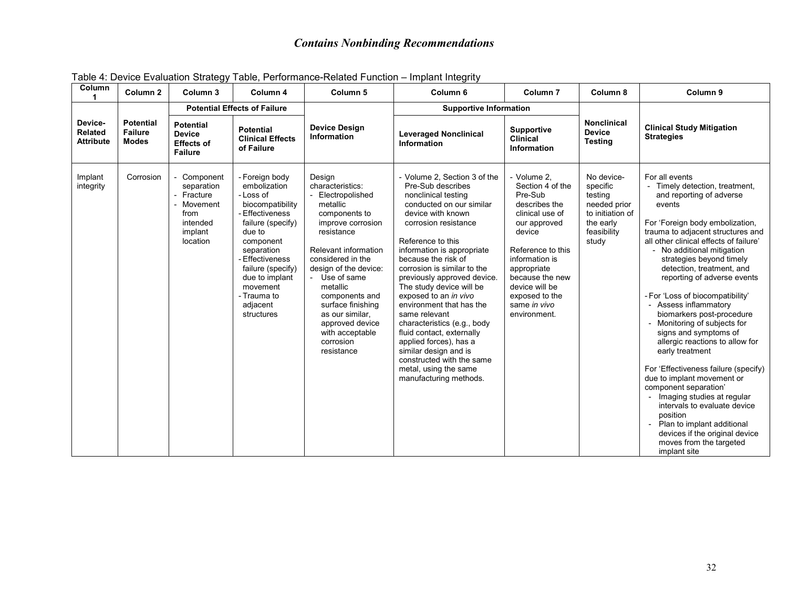| Column<br>1                                   | Column <sub>2</sub>                                | Column 3                                                                                     | Column 4                                                                                                                                                                                                                                                    | Column <sub>5</sub>                                                                                                                                                                                                                                                                                                                         | Column <sub>6</sub>                                                                                                                                                                                                                                                                                                                                                                                                                                                                                                                                                                        | Column <sub>7</sub>                                                                                                                                                                                                                                   | Column 8                                                                                                   | Column <sub>9</sub>                                                                                                                                                                                                                                                                                                                                                                                                                                                                                                                                                                                                                                                                                                                                                                                                       |
|-----------------------------------------------|----------------------------------------------------|----------------------------------------------------------------------------------------------|-------------------------------------------------------------------------------------------------------------------------------------------------------------------------------------------------------------------------------------------------------------|---------------------------------------------------------------------------------------------------------------------------------------------------------------------------------------------------------------------------------------------------------------------------------------------------------------------------------------------|--------------------------------------------------------------------------------------------------------------------------------------------------------------------------------------------------------------------------------------------------------------------------------------------------------------------------------------------------------------------------------------------------------------------------------------------------------------------------------------------------------------------------------------------------------------------------------------------|-------------------------------------------------------------------------------------------------------------------------------------------------------------------------------------------------------------------------------------------------------|------------------------------------------------------------------------------------------------------------|---------------------------------------------------------------------------------------------------------------------------------------------------------------------------------------------------------------------------------------------------------------------------------------------------------------------------------------------------------------------------------------------------------------------------------------------------------------------------------------------------------------------------------------------------------------------------------------------------------------------------------------------------------------------------------------------------------------------------------------------------------------------------------------------------------------------------|
|                                               |                                                    |                                                                                              | <b>Potential Effects of Failure</b>                                                                                                                                                                                                                         |                                                                                                                                                                                                                                                                                                                                             | <b>Supportive Information</b>                                                                                                                                                                                                                                                                                                                                                                                                                                                                                                                                                              |                                                                                                                                                                                                                                                       |                                                                                                            |                                                                                                                                                                                                                                                                                                                                                                                                                                                                                                                                                                                                                                                                                                                                                                                                                           |
| Device-<br><b>Related</b><br><b>Attribute</b> | <b>Potential</b><br><b>Failure</b><br><b>Modes</b> | <b>Potential</b><br><b>Device</b><br><b>Effects of</b><br><b>Failure</b>                     | <b>Potential</b><br><b>Clinical Effects</b><br>of Failure                                                                                                                                                                                                   | <b>Device Design</b><br><b>Information</b>                                                                                                                                                                                                                                                                                                  | <b>Leveraged Nonclinical</b><br><b>Information</b>                                                                                                                                                                                                                                                                                                                                                                                                                                                                                                                                         | <b>Supportive</b><br><b>Clinical</b><br>Information                                                                                                                                                                                                   | <b>Nonclinical</b><br><b>Device</b><br><b>Testing</b>                                                      | <b>Clinical Study Mitigation</b><br><b>Strategies</b>                                                                                                                                                                                                                                                                                                                                                                                                                                                                                                                                                                                                                                                                                                                                                                     |
| Implant<br>integrity                          | Corrosion                                          | Component<br>separation<br>- Fracture<br>Movement<br>from<br>intended<br>implant<br>location | - Foreign body<br>embolization<br>- Loss of<br>biocompatibility<br>- Effectiveness<br>failure (specify)<br>due to<br>component<br>separation<br>- Effectiveness<br>failure (specify)<br>due to implant<br>movement<br>- Trauma to<br>adjacent<br>structures | Design<br>characteristics:<br>Electropolished<br>metallic<br>components to<br>improve corrosion<br>resistance<br>Relevant information<br>considered in the<br>design of the device:<br>- Use of same<br>metallic<br>components and<br>surface finishing<br>as our similar.<br>approved device<br>with acceptable<br>corrosion<br>resistance | - Volume 2. Section 3 of the<br>Pre-Sub describes<br>nonclinical testing<br>conducted on our similar<br>device with known<br>corrosion resistance<br>Reference to this<br>information is appropriate<br>because the risk of<br>corrosion is similar to the<br>previously approved device.<br>The study device will be<br>exposed to an in vivo<br>environment that has the<br>same relevant<br>characteristics (e.g., body<br>fluid contact, externally<br>applied forces), has a<br>similar design and is<br>constructed with the same<br>metal, using the same<br>manufacturing methods. | - Volume 2,<br>Section 4 of the<br>Pre-Sub<br>describes the<br>clinical use of<br>our approved<br>device<br>Reference to this<br>information is<br>appropriate<br>because the new<br>device will be<br>exposed to the<br>same in vivo<br>environment. | No device-<br>specific<br>testing<br>needed prior<br>to initiation of<br>the early<br>feasibility<br>study | For all events<br>- Timely detection, treatment,<br>and reporting of adverse<br>events<br>For 'Foreign body embolization,<br>trauma to adjacent structures and<br>all other clinical effects of failure'<br>- No additional mitigation<br>strategies beyond timely<br>detection, treatment, and<br>reporting of adverse events<br>- For 'Loss of biocompatibility'<br>- Assess inflammatory<br>biomarkers post-procedure<br>Monitoring of subjects for<br>signs and symptoms of<br>allergic reactions to allow for<br>early treatment<br>For 'Effectiveness failure (specify)<br>due to implant movement or<br>component separation'<br>Imaging studies at regular<br>intervals to evaluate device<br>position<br>Plan to implant additional<br>devices if the original device<br>moves from the targeted<br>implant site |

Table 4: Device Evaluation Strategy Table, Performance-Related Function – Implant Integrity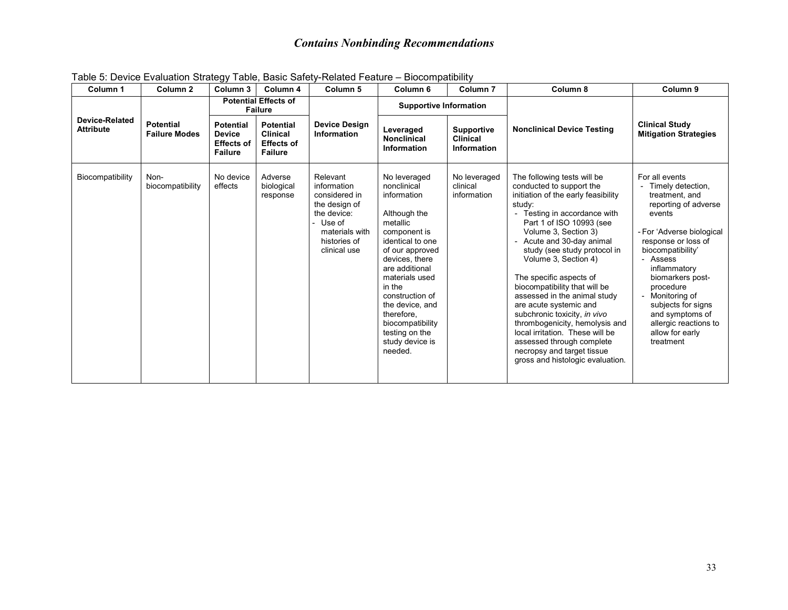| Column 1                                  | Column 2                                 | Column 3                                                                 | Column 4                                                                   | Column 5                                                                                                                             | Column <sub>6</sub>                                                                                                                                                                                                                                                                                                   | Column <sub>7</sub>                                 | Column 8                                                                                                                                                                                                                                                                                                                                                                                                                                                                                                                                                                                                  | Column 9                                                                                                                                                                                                                                                                                                                                           |  |
|-------------------------------------------|------------------------------------------|--------------------------------------------------------------------------|----------------------------------------------------------------------------|--------------------------------------------------------------------------------------------------------------------------------------|-----------------------------------------------------------------------------------------------------------------------------------------------------------------------------------------------------------------------------------------------------------------------------------------------------------------------|-----------------------------------------------------|-----------------------------------------------------------------------------------------------------------------------------------------------------------------------------------------------------------------------------------------------------------------------------------------------------------------------------------------------------------------------------------------------------------------------------------------------------------------------------------------------------------------------------------------------------------------------------------------------------------|----------------------------------------------------------------------------------------------------------------------------------------------------------------------------------------------------------------------------------------------------------------------------------------------------------------------------------------------------|--|
|                                           |                                          |                                                                          |                                                                            | <b>Potential Effects of</b><br><b>Failure</b>                                                                                        |                                                                                                                                                                                                                                                                                                                       | <b>Supportive Information</b>                       |                                                                                                                                                                                                                                                                                                                                                                                                                                                                                                                                                                                                           |                                                                                                                                                                                                                                                                                                                                                    |  |
| <b>Device-Related</b><br><b>Attribute</b> | <b>Potential</b><br><b>Failure Modes</b> | <b>Potential</b><br><b>Device</b><br><b>Effects of</b><br><b>Failure</b> | <b>Potential</b><br><b>Clinical</b><br><b>Effects of</b><br><b>Failure</b> | <b>Device Design</b><br>Information                                                                                                  | Leveraged<br><b>Nonclinical</b><br>Information                                                                                                                                                                                                                                                                        | <b>Supportive</b><br><b>Clinical</b><br>Information | <b>Nonclinical Device Testing</b>                                                                                                                                                                                                                                                                                                                                                                                                                                                                                                                                                                         | <b>Clinical Study</b><br><b>Mitigation Strategies</b>                                                                                                                                                                                                                                                                                              |  |
| Biocompatibility                          | Non-<br>biocompatibility                 | No device<br>effects                                                     | Adverse<br>biological<br>response                                          | Relevant<br>information<br>considered in<br>the design of<br>the device:<br>Use of<br>materials with<br>histories of<br>clinical use | No leveraged<br>nonclinical<br>information<br>Although the<br>metallic<br>component is<br>identical to one<br>of our approved<br>devices, there<br>are additional<br>materials used<br>in the<br>construction of<br>the device, and<br>therefore.<br>biocompatibility<br>testing on the<br>study device is<br>needed. | No leveraged<br>clinical<br>information             | The following tests will be<br>conducted to support the<br>initiation of the early feasibility<br>study:<br>- Testing in accordance with<br>Part 1 of ISO 10993 (see<br>Volume 3, Section 3)<br>Acute and 30-day animal<br>study (see study protocol in<br>Volume 3, Section 4)<br>The specific aspects of<br>biocompatibility that will be<br>assessed in the animal study<br>are acute systemic and<br>subchronic toxicity, in vivo<br>thrombogenicity, hemolysis and<br>local irritation. These will be<br>assessed through complete<br>necropsy and target tissue<br>gross and histologic evaluation. | For all events<br>Timely detection,<br>treatment, and<br>reporting of adverse<br>events<br>- For 'Adverse biological<br>response or loss of<br>biocompatibility'<br>- Assess<br>inflammatory<br>biomarkers post-<br>procedure<br>- Monitoring of<br>subjects for signs<br>and symptoms of<br>allergic reactions to<br>allow for early<br>treatment |  |

Table 5: Device Evaluation Strategy Table, Basic Safety-Related Feature – Biocompatibility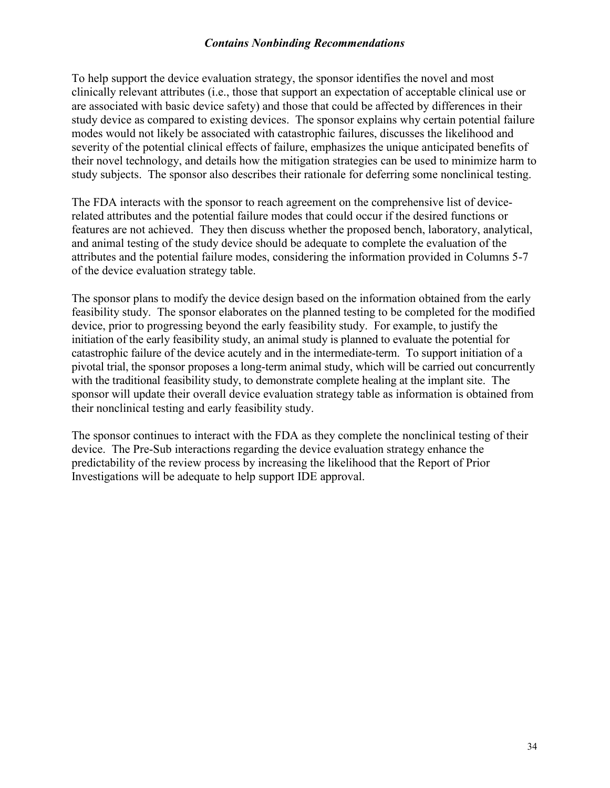To help support the device evaluation strategy, the sponsor identifies the novel and most clinically relevant attributes (i.e., those that support an expectation of acceptable clinical use or are associated with basic device safety) and those that could be affected by differences in their study device as compared to existing devices. The sponsor explains why certain potential failure modes would not likely be associated with catastrophic failures, discusses the likelihood and severity of the potential clinical effects of failure, emphasizes the unique anticipated benefits of their novel technology, and details how the mitigation strategies can be used to minimize harm to study subjects. The sponsor also describes their rationale for deferring some nonclinical testing.

The FDA interacts with the sponsor to reach agreement on the comprehensive list of devicerelated attributes and the potential failure modes that could occur if the desired functions or features are not achieved. They then discuss whether the proposed bench, laboratory, analytical, and animal testing of the study device should be adequate to complete the evaluation of the attributes and the potential failure modes, considering the information provided in Columns 5-7 of the device evaluation strategy table.

The sponsor plans to modify the device design based on the information obtained from the early feasibility study. The sponsor elaborates on the planned testing to be completed for the modified device, prior to progressing beyond the early feasibility study. For example, to justify the initiation of the early feasibility study, an animal study is planned to evaluate the potential for catastrophic failure of the device acutely and in the intermediate-term. To support initiation of a pivotal trial, the sponsor proposes a long-term animal study, which will be carried out concurrently with the traditional feasibility study, to demonstrate complete healing at the implant site. The sponsor will update their overall device evaluation strategy table as information is obtained from their nonclinical testing and early feasibility study.

The sponsor continues to interact with the FDA as they complete the nonclinical testing of their device. The Pre-Sub interactions regarding the device evaluation strategy enhance the predictability of the review process by increasing the likelihood that the Report of Prior Investigations will be adequate to help support IDE approval.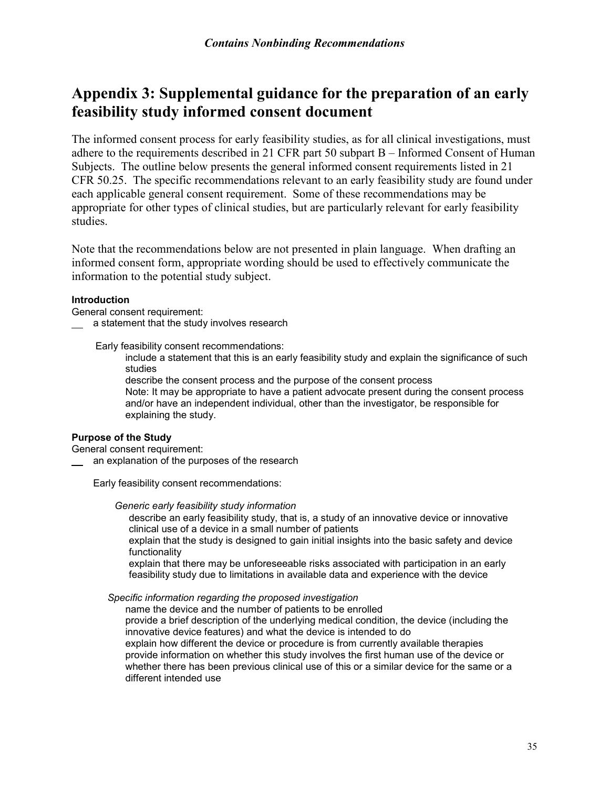## <span id="page-34-0"></span>**Appendix 3: Supplemental guidance for the preparation of an early feasibility study informed consent document**

The informed consent process for early feasibility studies, as for all clinical investigations, must adhere to the requirements described in 21 CFR part 50 subpart B – Informed Consent of Human Subjects. The outline below presents the general informed consent requirements listed in 21 CFR 50.25. The specific recommendations relevant to an early feasibility study are found under each applicable general consent requirement. Some of these recommendations may be appropriate for other types of clinical studies, but are particularly relevant for early feasibility studies.

Note that the recommendations below are not presented in plain language. When drafting an informed consent form, appropriate wording should be used to effectively communicate the information to the potential study subject.

#### **Introduction**

General consent requirement:

\_\_ a statement that the study involves research

Early feasibility consent recommendations:

include a statement that this is an early feasibility study and explain the significance of such studies

describe the consent process and the purpose of the consent process Note: It may be appropriate to have a patient advocate present during the consent process and/or have an independent individual, other than the investigator, be responsible for explaining the study.

#### **Purpose of the Study**

General consent requirement:

an explanation of the purposes of the research

Early feasibility consent recommendations:

*Generic early feasibility study information*

describe an early feasibility study, that is, a study of an innovative device or innovative clinical use of a device in a small number of patients

explain that the study is designed to gain initial insights into the basic safety and device functionality

explain that there may be unforeseeable risks associated with participation in an early feasibility study due to limitations in available data and experience with the device

#### *Specific information regarding the proposed investigation*

name the device and the number of patients to be enrolled provide a brief description of the underlying medical condition, the device (including the innovative device features) and what the device is intended to do explain how different the device or procedure is from currently available therapies provide information on whether this study involves the first human use of the device or whether there has been previous clinical use of this or a similar device for the same or a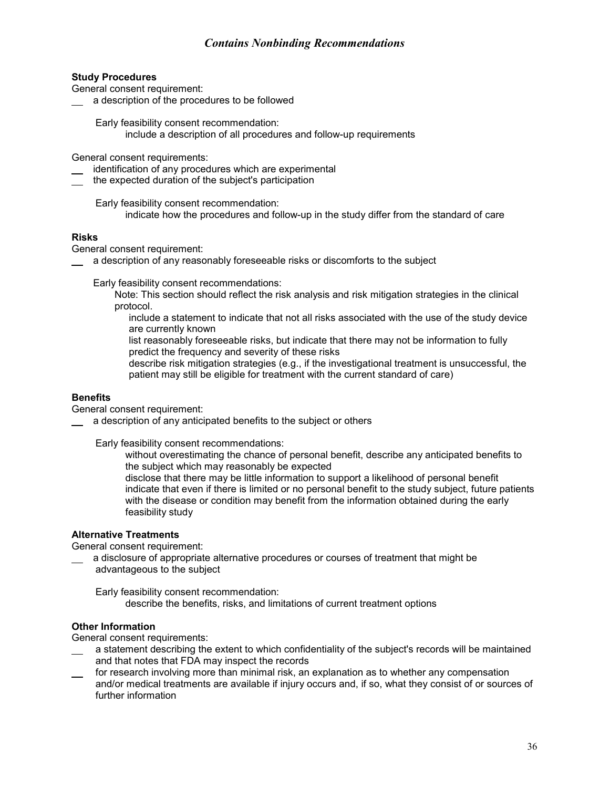#### **Study Procedures**

General consent requirement:

a description of the procedures to be followed

Early feasibility consent recommendation:

include a description of all procedures and follow-up requirements

General consent requirements:

- identification of any procedures which are experimental
- the expected duration of the subject's participation

Early feasibility consent recommendation: indicate how the procedures and follow-up in the study differ from the standard of care

#### **Risks**

General consent requirement:

a description of any reasonably foreseeable risks or discomforts to the subject

Early feasibility consent recommendations:

- Note: This section should reflect the risk analysis and risk mitigation strategies in the clinical protocol.
	- include a statement to indicate that not all risks associated with the use of the study device are currently known
	- list reasonably foreseeable risks, but indicate that there may not be information to fully predict the frequency and severity of these risks
	- describe risk mitigation strategies (e.g., if the investigational treatment is unsuccessful, the patient may still be eligible for treatment with the current standard of care)

#### **Benefits**

General consent requirement:

a description of any anticipated benefits to the subject or others

Early feasibility consent recommendations:

without overestimating the chance of personal benefit, describe any anticipated benefits to the subject which may reasonably be expected

disclose that there may be little information to support a likelihood of personal benefit indicate that even if there is limited or no personal benefit to the study subject, future patients with the disease or condition may benefit from the information obtained during the early feasibility study

#### **Alternative Treatments**

General consent requirement:

 a disclosure of appropriate alternative procedures or courses of treatment that might be advantageous to the subject

Early feasibility consent recommendation: describe the benefits, risks, and limitations of current treatment options

#### **Other Information**

General consent requirements:

- a statement describing the extent to which confidentiality of the subject's records will be maintained and that notes that FDA may inspect the records
- for research involving more than minimal risk, an explanation as to whether any compensation and/or medical treatments are available if injury occurs and, if so, what they consist of or sources of further information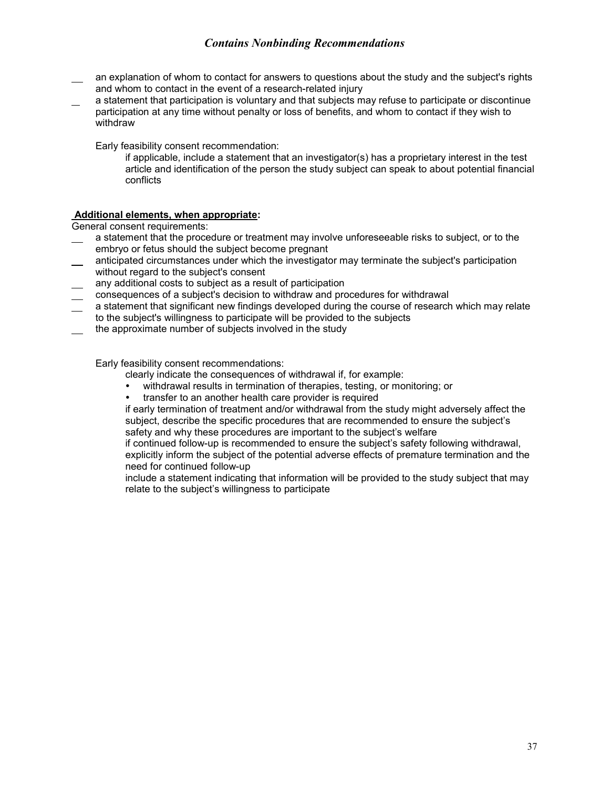- an explanation of whom to contact for answers to questions about the study and the subject's rights and whom to contact in the event of a research-related injury
- a statement that participation is voluntary and that subjects may refuse to participate or discontinue participation at any time without penalty or loss of benefits, and whom to contact if they wish to withdraw

Early feasibility consent recommendation:

if applicable, include a statement that an investigator(s) has a proprietary interest in the test article and identification of the person the study subject can speak to about potential financial conflicts

#### **Additional elements, when appropriate:**

General consent requirements:

- a statement that the procedure or treatment may involve unforeseeable risks to subject, or to the embryo or fetus should the subject become pregnant
- $\equiv$  anticipated circumstances under which the investigator may terminate the subject's participation without regard to the subject's consent
- any additional costs to subject as a result of participation
- consequences of a subject's decision to withdraw and procedures for withdrawal
- a statement that significant new findings developed during the course of research which may relate to the subject's willingness to participate will be provided to the subjects
- the approximate number of subjects involved in the study

Early feasibility consent recommendations:

- clearly indicate the consequences of withdrawal if, for example:
- withdrawal results in termination of therapies, testing, or monitoring; or
- transfer to an another health care provider is required

if early termination of treatment and/or withdrawal from the study might adversely affect the subject, describe the specific procedures that are recommended to ensure the subject's safety and why these procedures are important to the subject's welfare

if continued follow-up is recommended to ensure the subject's safety following withdrawal, explicitly inform the subject of the potential adverse effects of premature termination and the need for continued follow-up

include a statement indicating that information will be provided to the study subject that may relate to the subject's willingness to participate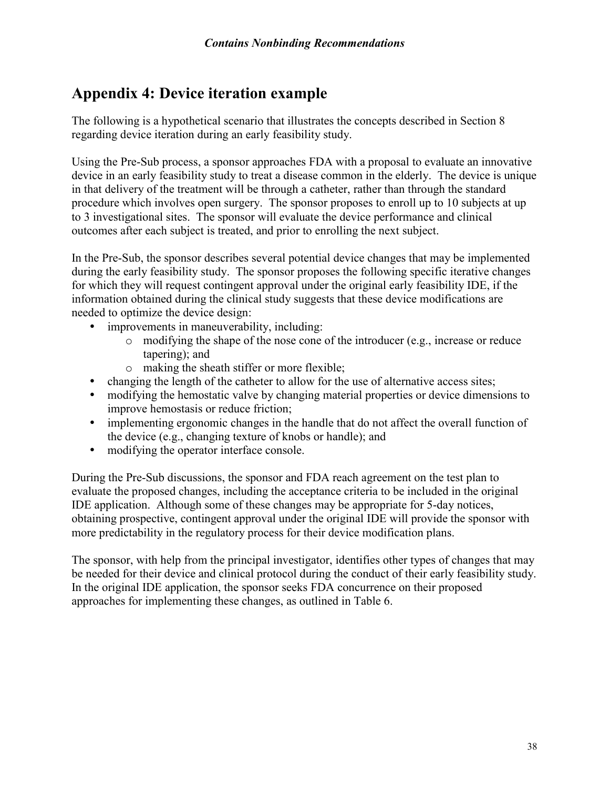## <span id="page-37-0"></span>**Appendix 4: Device iteration example**

The following is a hypothetical scenario that illustrates the concepts described in Section 8 regarding device iteration during an early feasibility study.

Using the Pre-Sub process, a sponsor approaches FDA with a proposal to evaluate an innovative device in an early feasibility study to treat a disease common in the elderly. The device is unique in that delivery of the treatment will be through a catheter, rather than through the standard procedure which involves open surgery. The sponsor proposes to enroll up to 10 subjects at up to 3 investigational sites. The sponsor will evaluate the device performance and clinical outcomes after each subject is treated, and prior to enrolling the next subject.

In the Pre-Sub, the sponsor describes several potential device changes that may be implemented during the early feasibility study. The sponsor proposes the following specific iterative changes for which they will request contingent approval under the original early feasibility IDE, if the information obtained during the clinical study suggests that these device modifications are needed to optimize the device design:

- improvements in maneuverability, including:
	- o modifying the shape of the nose cone of the introducer (e.g., increase or reduce tapering); and
	- o making the sheath stiffer or more flexible;
- changing the length of the catheter to allow for the use of alternative access sites;
- modifying the hemostatic valve by changing material properties or device dimensions to improve hemostasis or reduce friction;
- implementing ergonomic changes in the handle that do not affect the overall function of the device (e.g., changing texture of knobs or handle); and
- modifying the operator interface console.

During the Pre-Sub discussions, the sponsor and FDA reach agreement on the test plan to evaluate the proposed changes, including the acceptance criteria to be included in the original IDE application. Although some of these changes may be appropriate for 5-day notices, obtaining prospective, contingent approval under the original IDE will provide the sponsor with more predictability in the regulatory process for their device modification plans.

The sponsor, with help from the principal investigator, identifies other types of changes that may be needed for their device and clinical protocol during the conduct of their early feasibility study. In the original IDE application, the sponsor seeks FDA concurrence on their proposed approaches for implementing these changes, as outlined in Table 6.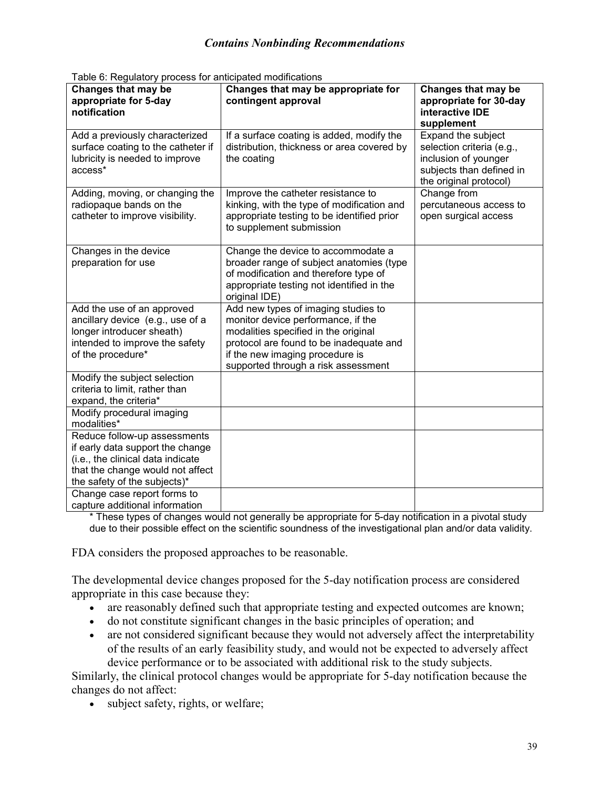| rabic of regulatory process for anticipated modifications<br>Changes that may be<br>appropriate for 5-day<br>notification                                                 | Changes that may be appropriate for<br>contingent approval                                                                                                                                                                             | Changes that may be<br>appropriate for 30-day<br>interactive IDE<br>supplement                                                |
|---------------------------------------------------------------------------------------------------------------------------------------------------------------------------|----------------------------------------------------------------------------------------------------------------------------------------------------------------------------------------------------------------------------------------|-------------------------------------------------------------------------------------------------------------------------------|
| Add a previously characterized<br>surface coating to the catheter if<br>lubricity is needed to improve<br>access*                                                         | If a surface coating is added, modify the<br>distribution, thickness or area covered by<br>the coating                                                                                                                                 | Expand the subject<br>selection criteria (e.g.,<br>inclusion of younger<br>subjects than defined in<br>the original protocol) |
| Adding, moving, or changing the<br>radiopaque bands on the<br>catheter to improve visibility.                                                                             | Improve the catheter resistance to<br>kinking, with the type of modification and<br>appropriate testing to be identified prior<br>to supplement submission                                                                             | Change from<br>percutaneous access to<br>open surgical access                                                                 |
| Changes in the device<br>preparation for use                                                                                                                              | Change the device to accommodate a<br>broader range of subject anatomies (type<br>of modification and therefore type of<br>appropriate testing not identified in the<br>original IDE)                                                  |                                                                                                                               |
| Add the use of an approved<br>ancillary device (e.g., use of a<br>longer introducer sheath)<br>intended to improve the safety<br>of the procedure*                        | Add new types of imaging studies to<br>monitor device performance, if the<br>modalities specified in the original<br>protocol are found to be inadequate and<br>if the new imaging procedure is<br>supported through a risk assessment |                                                                                                                               |
| Modify the subject selection<br>criteria to limit, rather than<br>expand, the criteria*                                                                                   |                                                                                                                                                                                                                                        |                                                                                                                               |
| Modify procedural imaging<br>modalities*                                                                                                                                  |                                                                                                                                                                                                                                        |                                                                                                                               |
| Reduce follow-up assessments<br>if early data support the change<br>(i.e., the clinical data indicate<br>that the change would not affect<br>the safety of the subjects)* |                                                                                                                                                                                                                                        |                                                                                                                               |
| Change case report forms to<br>capture additional information                                                                                                             |                                                                                                                                                                                                                                        |                                                                                                                               |

Table 6: Regulatory process for anticipated modifications

\* These types of changes would not generally be appropriate for 5-day notification in a pivotal study due to their possible effect on the scientific soundness of the investigational plan and/or data validity.

FDA considers the proposed approaches to be reasonable.

The developmental device changes proposed for the 5-day notification process are considered appropriate in this case because they:

- · are reasonably defined such that appropriate testing and expected outcomes are known;
- · do not constitute significant changes in the basic principles of operation; and
- are not considered significant because they would not adversely affect the interpretability of the results of an early feasibility study, and would not be expected to adversely affect device performance or to be associated with additional risk to the study subjects.

Similarly, the clinical protocol changes would be appropriate for 5-day notification because the changes do not affect:

• subject safety, rights, or welfare;